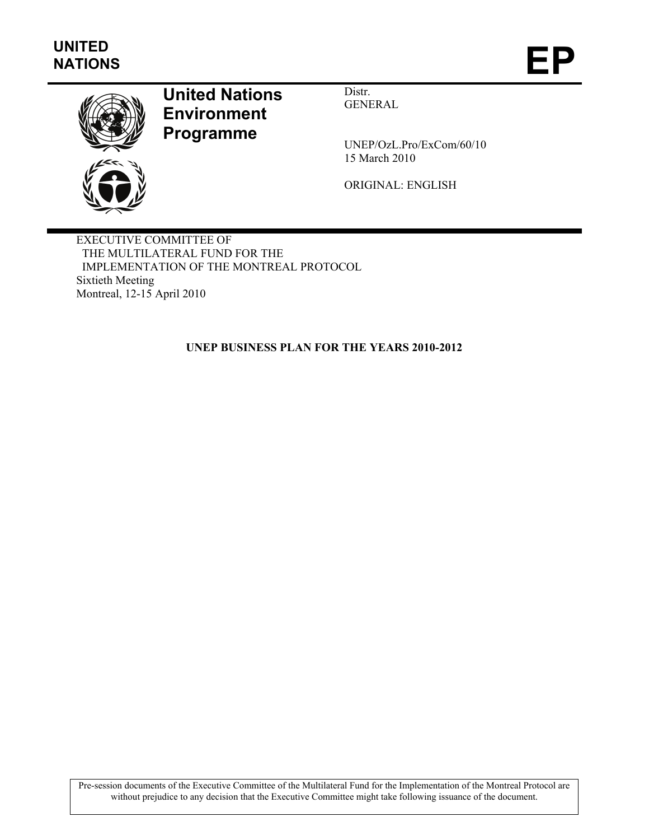

# **United Nations Environment Programme**

Distr. GENERAL

UNEP/OzL.Pro/ExCom/60/10 15 March 2010

ORIGINAL: ENGLISH

EXECUTIVE COMMITTEE OF THE MULTILATERAL FUND FOR THE IMPLEMENTATION OF THE MONTREAL PROTOCOL Sixtieth Meeting Montreal, 12-15 April 2010

**UNEP BUSINESS PLAN FOR THE YEARS 2010-2012** 

Pre-session documents of the Executive Committee of the Multilateral Fund for the Implementation of the Montreal Protocol are without prejudice to any decision that the Executive Committee might take following issuance of the document.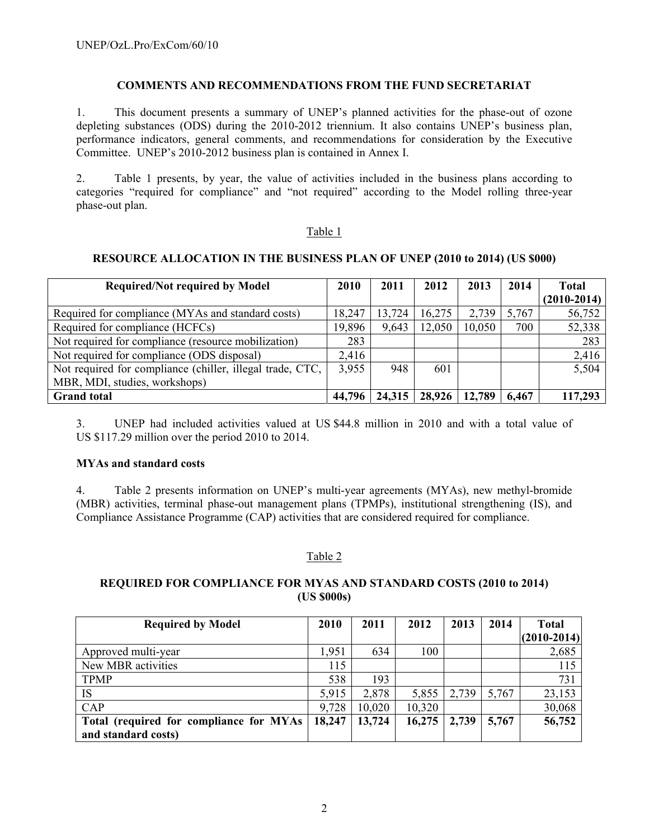## **COMMENTS AND RECOMMENDATIONS FROM THE FUND SECRETARIAT**

1. This document presents a summary of UNEP's planned activities for the phase-out of ozone depleting substances (ODS) during the 2010-2012 triennium. It also contains UNEP's business plan, performance indicators, general comments, and recommendations for consideration by the Executive Committee. UNEP's 2010-2012 business plan is contained in Annex I.

2. Table 1 presents, by year, the value of activities included in the business plans according to categories "required for compliance" and "not required" according to the Model rolling three-year phase-out plan.

#### Table 1

#### **RESOURCE ALLOCATION IN THE BUSINESS PLAN OF UNEP (2010 to 2014) (US \$000)**

| <b>Required/Not required by Model</b>                     |        | 2011   | 2012   | 2013   | 2014  | <b>Total</b>  |
|-----------------------------------------------------------|--------|--------|--------|--------|-------|---------------|
|                                                           |        |        |        |        |       | $(2010-2014)$ |
| Required for compliance (MYAs and standard costs)         | 18,247 | 13,724 | 16,275 | 2,739  | 5,767 | 56,752        |
| Required for compliance (HCFCs)                           | 19,896 | 9,643  | 12,050 | 10,050 | 700   | 52,338        |
| Not required for compliance (resource mobilization)       | 283    |        |        |        |       | 283           |
| Not required for compliance (ODS disposal)                | 2,416  |        |        |        |       | 2,416         |
| Not required for compliance (chiller, illegal trade, CTC, | 3,955  | 948    | 601    |        |       | 5,504         |
| MBR, MDI, studies, workshops)                             |        |        |        |        |       |               |
| <b>Grand</b> total                                        | 44,796 | 24,315 | 28,926 | 12,789 | 6,467 | 117,293       |

3. UNEP had included activities valued at US \$44.8 million in 2010 and with a total value of US \$117.29 million over the period 2010 to 2014.

#### **MYAs and standard costs**

4. Table 2 presents information on UNEP's multi-year agreements (MYAs), new methyl-bromide (MBR) activities, terminal phase-out management plans (TPMPs), institutional strengthening (IS), and Compliance Assistance Programme (CAP) activities that are considered required for compliance.

## Table 2

## **REQUIRED FOR COMPLIANCE FOR MYAS AND STANDARD COSTS (2010 to 2014) (US \$000s)**

| <b>Required by Model</b>                | 2010   | 2011   | 2012   | 2013  | 2014  | <b>Total</b>  |
|-----------------------------------------|--------|--------|--------|-------|-------|---------------|
|                                         |        |        |        |       |       | $(2010-2014)$ |
| Approved multi-year                     | ,951   | 634    | 100    |       |       | 2,685         |
| New MBR activities                      | 115    |        |        |       |       | 115           |
| <b>TPMP</b>                             | 538    | 193    |        |       |       | 731           |
| IS                                      | 5,915  | 2,878  | 5,855  | 2,739 | 5,767 | 23,153        |
| CAP                                     | 9,728  | 10,020 | 10,320 |       |       | 30,068        |
| Total (required for compliance for MYAs | 18,247 | 13,724 | 16,275 | 2,739 | 5,767 | 56,752        |
| and standard costs)                     |        |        |        |       |       |               |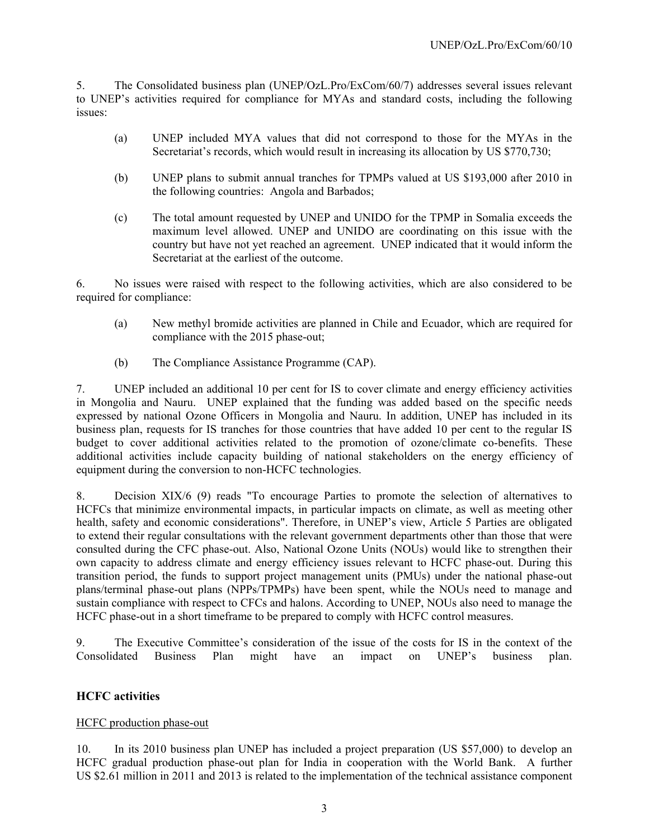5. The Consolidated business plan (UNEP/OzL.Pro/ExCom/60/7) addresses several issues relevant to UNEP's activities required for compliance for MYAs and standard costs, including the following issues:

- (a) UNEP included MYA values that did not correspond to those for the MYAs in the Secretariat's records, which would result in increasing its allocation by US \$770,730;
- (b) UNEP plans to submit annual tranches for TPMPs valued at US \$193,000 after 2010 in the following countries: Angola and Barbados;
- (c) The total amount requested by UNEP and UNIDO for the TPMP in Somalia exceeds the maximum level allowed. UNEP and UNIDO are coordinating on this issue with the country but have not yet reached an agreement. UNEP indicated that it would inform the Secretariat at the earliest of the outcome.

6. No issues were raised with respect to the following activities, which are also considered to be required for compliance:

- (a) New methyl bromide activities are planned in Chile and Ecuador, which are required for compliance with the 2015 phase-out;
- (b) The Compliance Assistance Programme (CAP).

7. UNEP included an additional 10 per cent for IS to cover climate and energy efficiency activities in Mongolia and Nauru. UNEP explained that the funding was added based on the specific needs expressed by national Ozone Officers in Mongolia and Nauru. In addition, UNEP has included in its business plan, requests for IS tranches for those countries that have added 10 per cent to the regular IS budget to cover additional activities related to the promotion of ozone/climate co-benefits. These additional activities include capacity building of national stakeholders on the energy efficiency of equipment during the conversion to non-HCFC technologies.

8. Decision XIX/6 (9) reads "To encourage Parties to promote the selection of alternatives to HCFCs that minimize environmental impacts, in particular impacts on climate, as well as meeting other health, safety and economic considerations". Therefore, in UNEP's view, Article 5 Parties are obligated to extend their regular consultations with the relevant government departments other than those that were consulted during the CFC phase-out. Also, National Ozone Units (NOUs) would like to strengthen their own capacity to address climate and energy efficiency issues relevant to HCFC phase-out. During this transition period, the funds to support project management units (PMUs) under the national phase-out plans/terminal phase-out plans (NPPs/TPMPs) have been spent, while the NOUs need to manage and sustain compliance with respect to CFCs and halons. According to UNEP, NOUs also need to manage the HCFC phase-out in a short timeframe to be prepared to comply with HCFC control measures.

9. The Executive Committee's consideration of the issue of the costs for IS in the context of the Consolidated Business Plan might have an impact on UNEP's business plan.

## **HCFC activities**

## HCFC production phase-out

10. In its 2010 business plan UNEP has included a project preparation (US \$57,000) to develop an HCFC gradual production phase-out plan for India in cooperation with the World Bank. A further US \$2.61 million in 2011 and 2013 is related to the implementation of the technical assistance component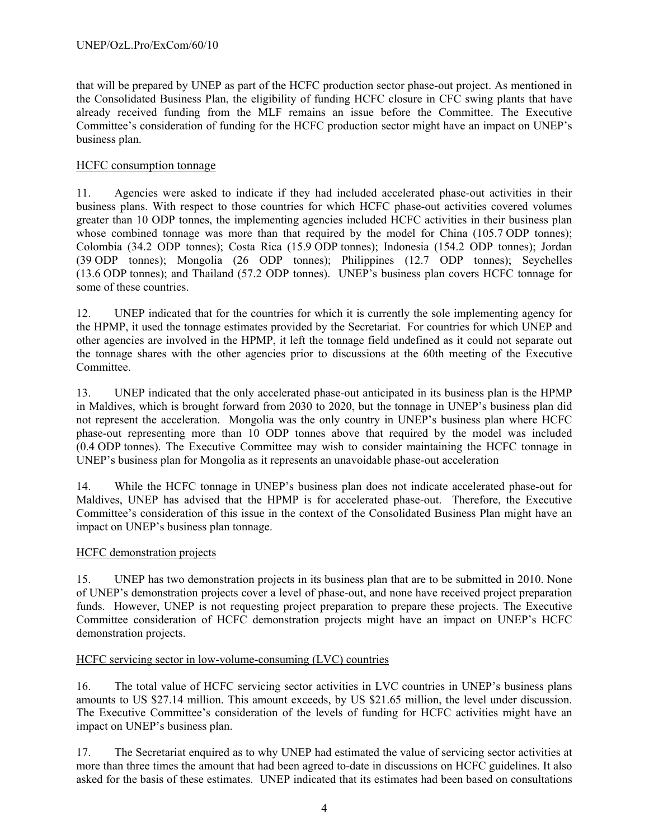that will be prepared by UNEP as part of the HCFC production sector phase-out project. As mentioned in the Consolidated Business Plan, the eligibility of funding HCFC closure in CFC swing plants that have already received funding from the MLF remains an issue before the Committee. The Executive Committee's consideration of funding for the HCFC production sector might have an impact on UNEP's business plan.

## HCFC consumption tonnage

11. Agencies were asked to indicate if they had included accelerated phase-out activities in their business plans. With respect to those countries for which HCFC phase-out activities covered volumes greater than 10 ODP tonnes, the implementing agencies included HCFC activities in their business plan whose combined tonnage was more than that required by the model for China (105.7 ODP tonnes); Colombia (34.2 ODP tonnes); Costa Rica (15.9 ODP tonnes); Indonesia (154.2 ODP tonnes); Jordan (39 ODP tonnes); Mongolia (26 ODP tonnes); Philippines (12.7 ODP tonnes); Seychelles (13.6 ODP tonnes); and Thailand (57.2 ODP tonnes). UNEP's business plan covers HCFC tonnage for some of these countries.

12. UNEP indicated that for the countries for which it is currently the sole implementing agency for the HPMP, it used the tonnage estimates provided by the Secretariat. For countries for which UNEP and other agencies are involved in the HPMP, it left the tonnage field undefined as it could not separate out the tonnage shares with the other agencies prior to discussions at the 60th meeting of the Executive Committee.

13. UNEP indicated that the only accelerated phase-out anticipated in its business plan is the HPMP in Maldives, which is brought forward from 2030 to 2020, but the tonnage in UNEP's business plan did not represent the acceleration. Mongolia was the only country in UNEP's business plan where HCFC phase-out representing more than 10 ODP tonnes above that required by the model was included (0.4 ODP tonnes). The Executive Committee may wish to consider maintaining the HCFC tonnage in UNEP's business plan for Mongolia as it represents an unavoidable phase-out acceleration

14. While the HCFC tonnage in UNEP's business plan does not indicate accelerated phase-out for Maldives, UNEP has advised that the HPMP is for accelerated phase-out. Therefore, the Executive Committee's consideration of this issue in the context of the Consolidated Business Plan might have an impact on UNEP's business plan tonnage.

## HCFC demonstration projects

15. UNEP has two demonstration projects in its business plan that are to be submitted in 2010. None of UNEP's demonstration projects cover a level of phase-out, and none have received project preparation funds. However, UNEP is not requesting project preparation to prepare these projects. The Executive Committee consideration of HCFC demonstration projects might have an impact on UNEP's HCFC demonstration projects.

## HCFC servicing sector in low-volume-consuming (LVC) countries

16. The total value of HCFC servicing sector activities in LVC countries in UNEP's business plans amounts to US \$27.14 million. This amount exceeds, by US \$21.65 million, the level under discussion. The Executive Committee's consideration of the levels of funding for HCFC activities might have an impact on UNEP's business plan.

17. The Secretariat enquired as to why UNEP had estimated the value of servicing sector activities at more than three times the amount that had been agreed to-date in discussions on HCFC guidelines. It also asked for the basis of these estimates. UNEP indicated that its estimates had been based on consultations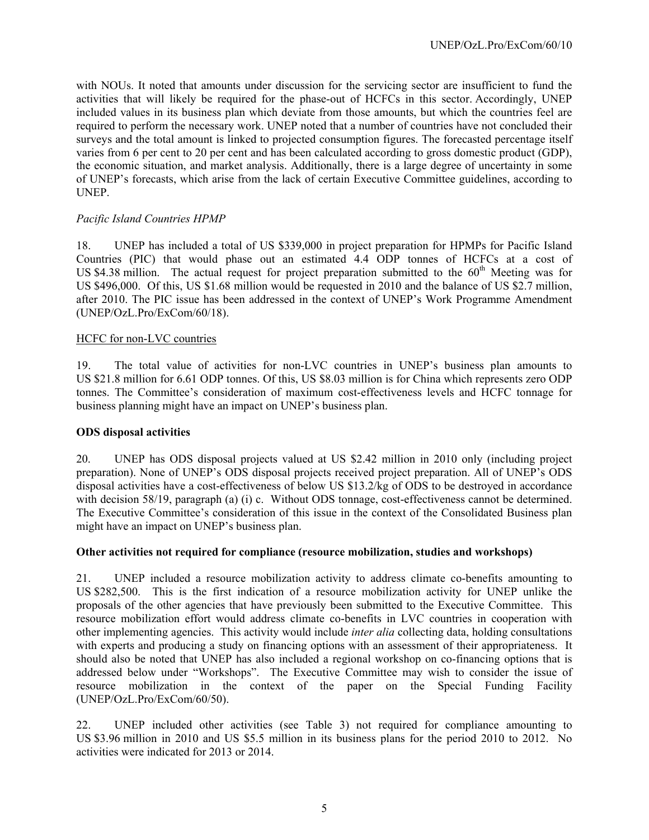with NOUs. It noted that amounts under discussion for the servicing sector are insufficient to fund the activities that will likely be required for the phase-out of HCFCs in this sector. Accordingly, UNEP included values in its business plan which deviate from those amounts, but which the countries feel are required to perform the necessary work. UNEP noted that a number of countries have not concluded their surveys and the total amount is linked to projected consumption figures. The forecasted percentage itself varies from 6 per cent to 20 per cent and has been calculated according to gross domestic product (GDP), the economic situation, and market analysis. Additionally, there is a large degree of uncertainty in some of UNEP's forecasts, which arise from the lack of certain Executive Committee guidelines, according to UNEP.

## *Pacific Island Countries HPMP*

18. UNEP has included a total of US \$339,000 in project preparation for HPMPs for Pacific Island Countries (PIC) that would phase out an estimated 4.4 ODP tonnes of HCFCs at a cost of US \$4.38 million. The actual request for project preparation submitted to the  $60<sup>th</sup>$  Meeting was for US \$496,000. Of this, US \$1.68 million would be requested in 2010 and the balance of US \$2.7 million, after 2010. The PIC issue has been addressed in the context of UNEP's Work Programme Amendment (UNEP/OzL.Pro/ExCom/60/18).

## HCFC for non-LVC countries

19. The total value of activities for non-LVC countries in UNEP's business plan amounts to US \$21.8 million for 6.61 ODP tonnes. Of this, US \$8.03 million is for China which represents zero ODP tonnes. The Committee's consideration of maximum cost-effectiveness levels and HCFC tonnage for business planning might have an impact on UNEP's business plan.

## **ODS disposal activities**

20. UNEP has ODS disposal projects valued at US \$2.42 million in 2010 only (including project preparation). None of UNEP's ODS disposal projects received project preparation. All of UNEP's ODS disposal activities have a cost-effectiveness of below US \$13.2/kg of ODS to be destroyed in accordance with decision 58/19, paragraph (a) (i) c. Without ODS tonnage, cost-effectiveness cannot be determined. The Executive Committee's consideration of this issue in the context of the Consolidated Business plan might have an impact on UNEP's business plan.

## **Other activities not required for compliance (resource mobilization, studies and workshops)**

21. UNEP included a resource mobilization activity to address climate co-benefits amounting to US \$282,500. This is the first indication of a resource mobilization activity for UNEP unlike the proposals of the other agencies that have previously been submitted to the Executive Committee. This resource mobilization effort would address climate co-benefits in LVC countries in cooperation with other implementing agencies. This activity would include *inter alia* collecting data, holding consultations with experts and producing a study on financing options with an assessment of their appropriateness. It should also be noted that UNEP has also included a regional workshop on co-financing options that is addressed below under "Workshops". The Executive Committee may wish to consider the issue of resource mobilization in the context of the paper on the Special Funding Facility (UNEP/OzL.Pro/ExCom/60/50).

22. UNEP included other activities (see Table 3) not required for compliance amounting to US \$3.96 million in 2010 and US \$5.5 million in its business plans for the period 2010 to 2012. No activities were indicated for 2013 or 2014.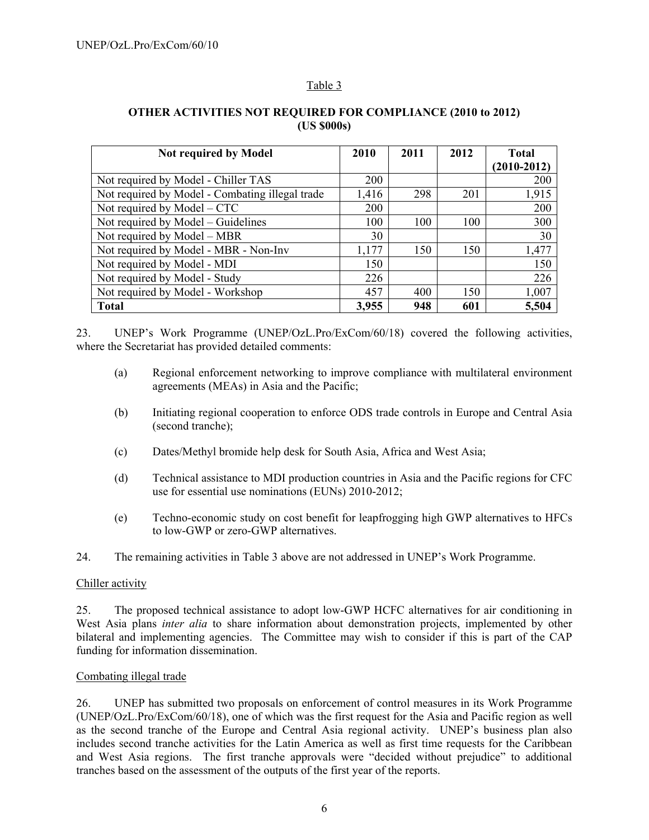## Table 3

| <b>Not required by Model</b>                    | 2010       | 2011 | 2012 | <b>Total</b><br>$(2010 - 2012)$ |  |  |
|-------------------------------------------------|------------|------|------|---------------------------------|--|--|
| Not required by Model - Chiller TAS             | 200        |      |      | 200                             |  |  |
| Not required by Model - Combating illegal trade | 1,416      | 298  | 201  | 1,915                           |  |  |
| Not required by $Model - CTC$                   | <b>200</b> |      |      | 200                             |  |  |
| Not required by Model – Guidelines              | 100        | 100  | 100  | 300                             |  |  |
| Not required by Model – MBR                     | 30         |      |      | 30                              |  |  |
| Not required by Model - MBR - Non-Inv           | 1,177      | 150  | 150  | 1,477                           |  |  |
| Not required by Model - MDI                     | 150        |      |      | 150                             |  |  |
| Not required by Model - Study                   | 226        |      |      | 226                             |  |  |
| Not required by Model - Workshop                | 457        | 400  | 150  | 1,007                           |  |  |
| <b>Total</b>                                    | 3,955      | 948  | 601  | 5,504                           |  |  |

## **OTHER ACTIVITIES NOT REQUIRED FOR COMPLIANCE (2010 to 2012) (US \$000s)**

23. UNEP's Work Programme (UNEP/OzL.Pro/ExCom/60/18) covered the following activities, where the Secretariat has provided detailed comments:

- (a) Regional enforcement networking to improve compliance with multilateral environment agreements (MEAs) in Asia and the Pacific;
- (b) Initiating regional cooperation to enforce ODS trade controls in Europe and Central Asia (second tranche);
- (c) Dates/Methyl bromide help desk for South Asia, Africa and West Asia;
- (d) Technical assistance to MDI production countries in Asia and the Pacific regions for CFC use for essential use nominations (EUNs) 2010-2012;
- (e) Techno-economic study on cost benefit for leapfrogging high GWP alternatives to HFCs to low-GWP or zero-GWP alternatives.

24. The remaining activities in Table 3 above are not addressed in UNEP's Work Programme.

## Chiller activity

25. The proposed technical assistance to adopt low-GWP HCFC alternatives for air conditioning in West Asia plans *inter alia* to share information about demonstration projects, implemented by other bilateral and implementing agencies. The Committee may wish to consider if this is part of the CAP funding for information dissemination.

## Combating illegal trade

26. UNEP has submitted two proposals on enforcement of control measures in its Work Programme (UNEP/OzL.Pro/ExCom/60/18), one of which was the first request for the Asia and Pacific region as well as the second tranche of the Europe and Central Asia regional activity. UNEP's business plan also includes second tranche activities for the Latin America as well as first time requests for the Caribbean and West Asia regions. The first tranche approvals were "decided without prejudice" to additional tranches based on the assessment of the outputs of the first year of the reports.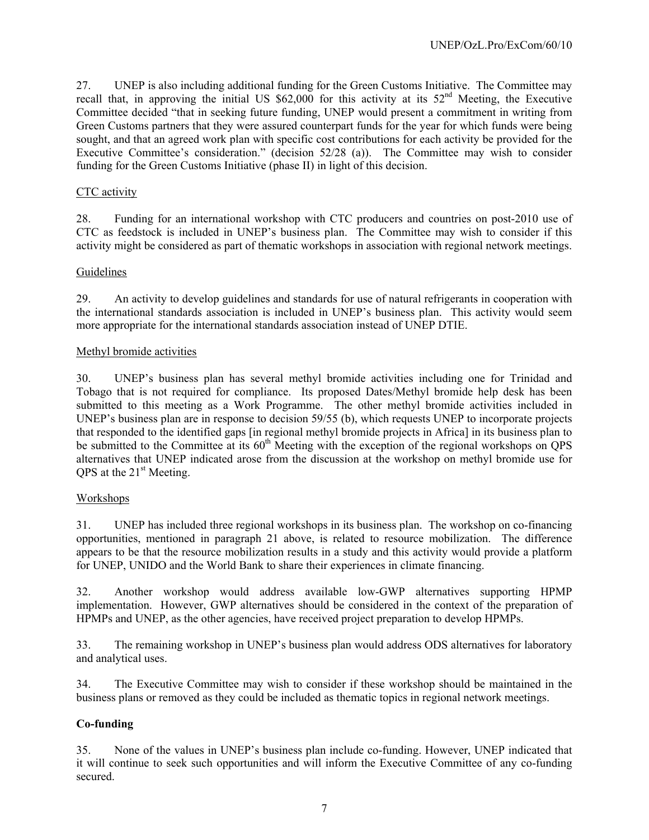27. UNEP is also including additional funding for the Green Customs Initiative. The Committee may recall that, in approving the initial US  $$62,000$  for this activity at its  $52<sup>nd</sup>$  Meeting, the Executive Committee decided "that in seeking future funding, UNEP would present a commitment in writing from Green Customs partners that they were assured counterpart funds for the year for which funds were being sought, and that an agreed work plan with specific cost contributions for each activity be provided for the Executive Committee's consideration." (decision 52/28 (a)). The Committee may wish to consider funding for the Green Customs Initiative (phase II) in light of this decision.

## CTC activity

28. Funding for an international workshop with CTC producers and countries on post-2010 use of CTC as feedstock is included in UNEP's business plan. The Committee may wish to consider if this activity might be considered as part of thematic workshops in association with regional network meetings.

## Guidelines

29. An activity to develop guidelines and standards for use of natural refrigerants in cooperation with the international standards association is included in UNEP's business plan. This activity would seem more appropriate for the international standards association instead of UNEP DTIE.

#### Methyl bromide activities

30. UNEP's business plan has several methyl bromide activities including one for Trinidad and Tobago that is not required for compliance. Its proposed Dates/Methyl bromide help desk has been submitted to this meeting as a Work Programme. The other methyl bromide activities included in UNEP's business plan are in response to decision 59/55 (b), which requests UNEP to incorporate projects that responded to the identified gaps [in regional methyl bromide projects in Africa] in its business plan to be submitted to the Committee at its  $60<sup>th</sup>$  Meeting with the exception of the regional workshops on QPS alternatives that UNEP indicated arose from the discussion at the workshop on methyl bromide use for QPS at the  $21<sup>st</sup>$  Meeting.

## Workshops

31. UNEP has included three regional workshops in its business plan. The workshop on co-financing opportunities, mentioned in paragraph 21 above, is related to resource mobilization. The difference appears to be that the resource mobilization results in a study and this activity would provide a platform for UNEP, UNIDO and the World Bank to share their experiences in climate financing.

32. Another workshop would address available low-GWP alternatives supporting HPMP implementation. However, GWP alternatives should be considered in the context of the preparation of HPMPs and UNEP, as the other agencies, have received project preparation to develop HPMPs.

33. The remaining workshop in UNEP's business plan would address ODS alternatives for laboratory and analytical uses.

34. The Executive Committee may wish to consider if these workshop should be maintained in the business plans or removed as they could be included as thematic topics in regional network meetings.

## **Co-funding**

35. None of the values in UNEP's business plan include co-funding. However, UNEP indicated that it will continue to seek such opportunities and will inform the Executive Committee of any co-funding secured.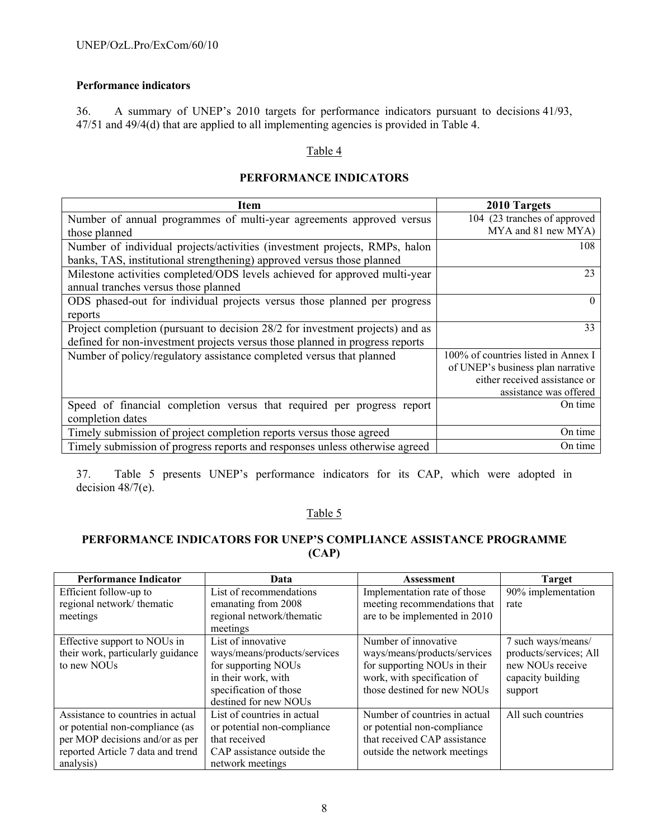## **Performance indicators**

36. A summary of UNEP's 2010 targets for performance indicators pursuant to decisions 41/93, 47/51 and 49/4(d) that are applied to all implementing agencies is provided in Table 4.

#### Table 4

## **PERFORMANCE INDICATORS**

| <b>Item</b>                                                                   | 2010 Targets                        |
|-------------------------------------------------------------------------------|-------------------------------------|
| Number of annual programmes of multi-year agreements approved versus          | 104 (23 tranches of approved        |
| those planned                                                                 | MYA and 81 new MYA)                 |
| Number of individual projects/activities (investment projects, RMPs, halon    | 108                                 |
| banks, TAS, institutional strengthening) approved versus those planned        |                                     |
| Milestone activities completed/ODS levels achieved for approved multi-year    | 23                                  |
| annual tranches versus those planned                                          |                                     |
| ODS phased-out for individual projects versus those planned per progress      | $\theta$                            |
| reports                                                                       |                                     |
| Project completion (pursuant to decision 28/2 for investment projects) and as | 33                                  |
| defined for non-investment projects versus those planned in progress reports  |                                     |
| Number of policy/regulatory assistance completed versus that planned          | 100% of countries listed in Annex I |
|                                                                               | of UNEP's business plan narrative   |
|                                                                               | either received assistance or       |
|                                                                               | assistance was offered              |
| Speed of financial completion versus that required per progress report        | On time                             |
| completion dates                                                              |                                     |
| Timely submission of project completion reports versus those agreed           | On time                             |
| Timely submission of progress reports and responses unless otherwise agreed   | On time                             |

37. Table 5 presents UNEP's performance indicators for its CAP, which were adopted in decision 48/7(e).

## Table 5

# **PERFORMANCE INDICATORS FOR UNEP'S COMPLIANCE ASSISTANCE PROGRAMME (CAP)**

| <b>Performance Indicator</b>      | Data                         | <b>Assessment</b>             | <b>Target</b>          |
|-----------------------------------|------------------------------|-------------------------------|------------------------|
| Efficient follow-up to            | List of recommendations      | Implementation rate of those  | 90% implementation     |
| regional network/thematic         | emanating from 2008          | meeting recommendations that  | rate                   |
| meetings                          | regional network/thematic    | are to be implemented in 2010 |                        |
|                                   | meetings                     |                               |                        |
| Effective support to NOUs in      | List of innovative           | Number of innovative          | 7 such ways/means/     |
| their work, particularly guidance | ways/means/products/services | ways/means/products/services  | products/services; All |
| to new NOUs                       | for supporting NOUs          | for supporting NOUs in their  | new NOUs receive       |
|                                   | in their work, with          | work, with specification of   | capacity building      |
|                                   | specification of those       | those destined for new NOUs   | support                |
|                                   | destined for new NOUs        |                               |                        |
| Assistance to countries in actual | List of countries in actual  | Number of countries in actual | All such countries     |
| or potential non-compliance (as   | or potential non-compliance  | or potential non-compliance   |                        |
| per MOP decisions and/or as per   | that received                | that received CAP assistance  |                        |
| reported Article 7 data and trend | CAP assistance outside the   | outside the network meetings  |                        |
| analysis)                         | network meetings             |                               |                        |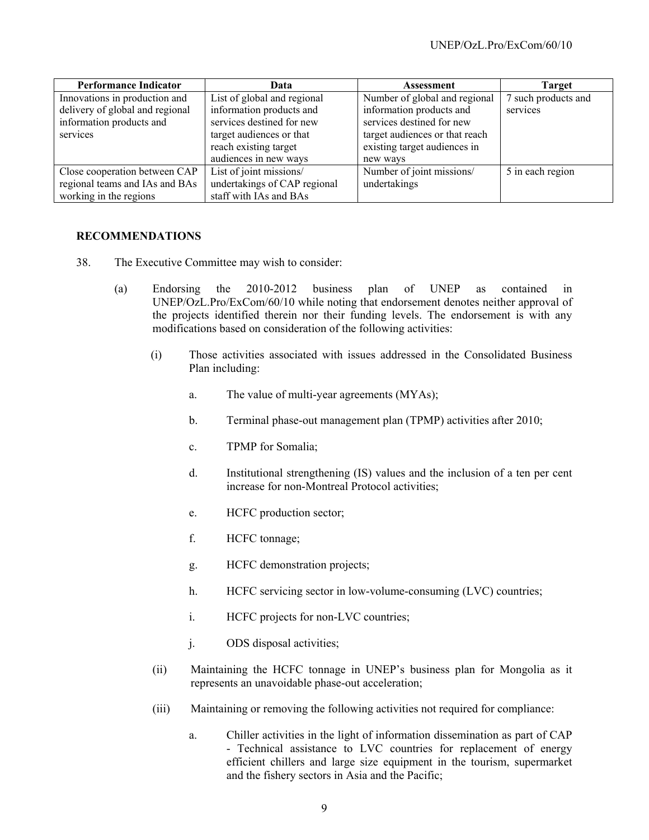| <b>Performance Indicator</b>    | Data                         | Assessment                     | <b>Target</b>       |
|---------------------------------|------------------------------|--------------------------------|---------------------|
| Innovations in production and   | List of global and regional  | Number of global and regional  | 7 such products and |
| delivery of global and regional | information products and     | information products and       | services            |
| information products and        | services destined for new    | services destined for new      |                     |
| services                        | target audiences or that     | target audiences or that reach |                     |
|                                 | reach existing target        | existing target audiences in   |                     |
|                                 | audiences in new ways        | new ways                       |                     |
| Close cooperation between CAP   | List of joint missions/      | Number of joint missions/      | 5 in each region    |
| regional teams and IAs and BAs  | undertakings of CAP regional | undertakings                   |                     |
| working in the regions          | staff with IAs and BAs       |                                |                     |

## **RECOMMENDATIONS**

- 38. The Executive Committee may wish to consider:
	- (a) Endorsing the 2010-2012 business plan of UNEP as contained in UNEP/OzL.Pro/ExCom/60/10 while noting that endorsement denotes neither approval of the projects identified therein nor their funding levels. The endorsement is with any modifications based on consideration of the following activities:
		- (i) Those activities associated with issues addressed in the Consolidated Business Plan including:
			- a. The value of multi-year agreements (MYAs);
			- b. Terminal phase-out management plan (TPMP) activities after 2010;
			- c. TPMP for Somalia;
			- d. Institutional strengthening (IS) values and the inclusion of a ten per cent increase for non-Montreal Protocol activities;
			- e. HCFC production sector;
			- f. HCFC tonnage;
			- g. HCFC demonstration projects;
			- h. HCFC servicing sector in low-volume-consuming (LVC) countries;
			- i. HCFC projects for non-LVC countries;
			- j. ODS disposal activities;
		- (ii) Maintaining the HCFC tonnage in UNEP's business plan for Mongolia as it represents an unavoidable phase-out acceleration;
		- (iii) Maintaining or removing the following activities not required for compliance:
			- a. Chiller activities in the light of information dissemination as part of CAP - Technical assistance to LVC countries for replacement of energy efficient chillers and large size equipment in the tourism, supermarket and the fishery sectors in Asia and the Pacific;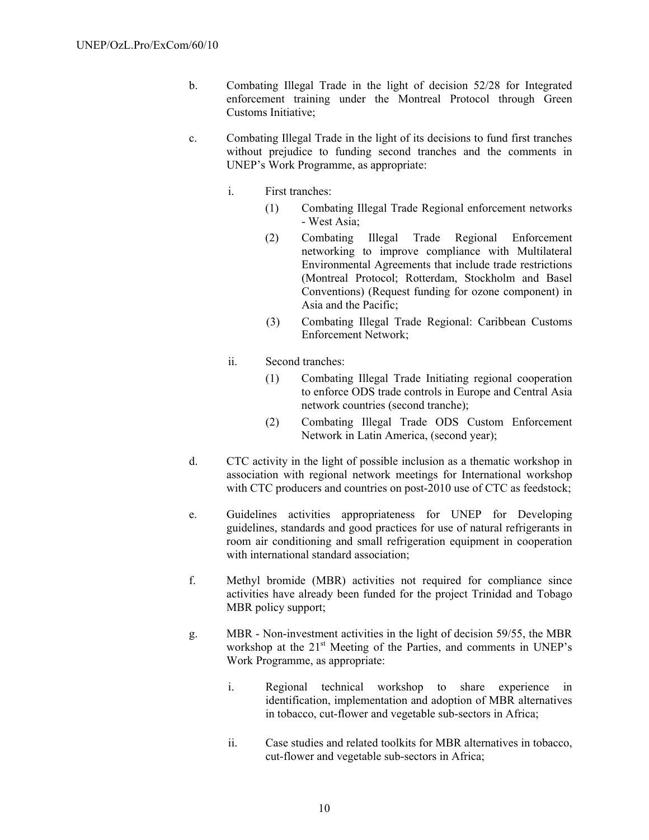- b. Combating Illegal Trade in the light of decision 52/28 for Integrated enforcement training under the Montreal Protocol through Green Customs Initiative;
- c. Combating Illegal Trade in the light of its decisions to fund first tranches without prejudice to funding second tranches and the comments in UNEP's Work Programme, as appropriate:
	- i. First tranches:
		- (1) Combating Illegal Trade Regional enforcement networks - West Asia;
		- (2) Combating Illegal Trade Regional Enforcement networking to improve compliance with Multilateral Environmental Agreements that include trade restrictions (Montreal Protocol; Rotterdam, Stockholm and Basel Conventions) (Request funding for ozone component) in Asia and the Pacific;
		- (3) Combating Illegal Trade Regional: Caribbean Customs Enforcement Network;
	- ii. Second tranches:
		- (1) Combating Illegal Trade Initiating regional cooperation to enforce ODS trade controls in Europe and Central Asia network countries (second tranche);
		- (2) Combating Illegal Trade ODS Custom Enforcement Network in Latin America, (second year);
- d. CTC activity in the light of possible inclusion as a thematic workshop in association with regional network meetings for International workshop with CTC producers and countries on post-2010 use of CTC as feedstock;
- e. Guidelines activities appropriateness for UNEP for Developing guidelines, standards and good practices for use of natural refrigerants in room air conditioning and small refrigeration equipment in cooperation with international standard association;
- f. Methyl bromide (MBR) activities not required for compliance since activities have already been funded for the project Trinidad and Tobago MBR policy support;
- g. MBR Non-investment activities in the light of decision 59/55, the MBR workshop at the 21<sup>st</sup> Meeting of the Parties, and comments in UNEP's Work Programme, as appropriate:
	- i. Regional technical workshop to share experience in identification, implementation and adoption of MBR alternatives in tobacco, cut-flower and vegetable sub-sectors in Africa;
	- ii. Case studies and related toolkits for MBR alternatives in tobacco, cut-flower and vegetable sub-sectors in Africa;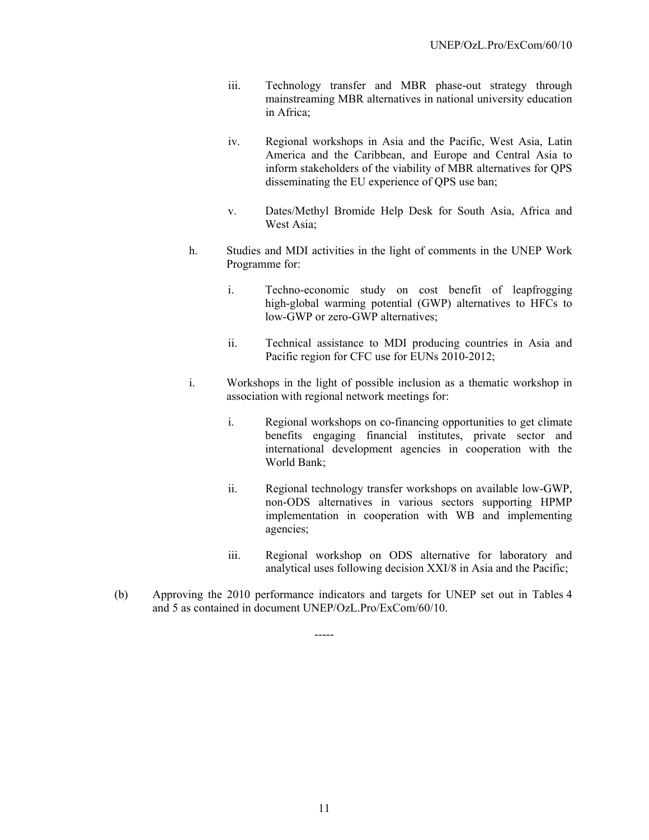- iii. Technology transfer and MBR phase-out strategy through mainstreaming MBR alternatives in national university education in Africa;
- iv. Regional workshops in Asia and the Pacific, West Asia, Latin America and the Caribbean, and Europe and Central Asia to inform stakeholders of the viability of MBR alternatives for QPS disseminating the EU experience of QPS use ban;
- v. Dates/Methyl Bromide Help Desk for South Asia, Africa and West Asia;
- h. Studies and MDI activities in the light of comments in the UNEP Work Programme for:
	- i. Techno-economic study on cost benefit of leapfrogging high-global warming potential (GWP) alternatives to HFCs to low-GWP or zero-GWP alternatives;
	- ii. Technical assistance to MDI producing countries in Asia and Pacific region for CFC use for EUNs 2010-2012;
- i. Workshops in the light of possible inclusion as a thematic workshop in association with regional network meetings for:
	- i. Regional workshops on co-financing opportunities to get climate benefits engaging financial institutes, private sector and international development agencies in cooperation with the World Bank;
	- ii. Regional technology transfer workshops on available low-GWP, non-ODS alternatives in various sectors supporting HPMP implementation in cooperation with WB and implementing agencies;
	- iii. Regional workshop on ODS alternative for laboratory and analytical uses following decision XXI/8 in Asia and the Pacific;
- (b) Approving the 2010 performance indicators and targets for UNEP set out in Tables 4 and 5 as contained in document UNEP/OzL.Pro/ExCom/60/10.

-----

11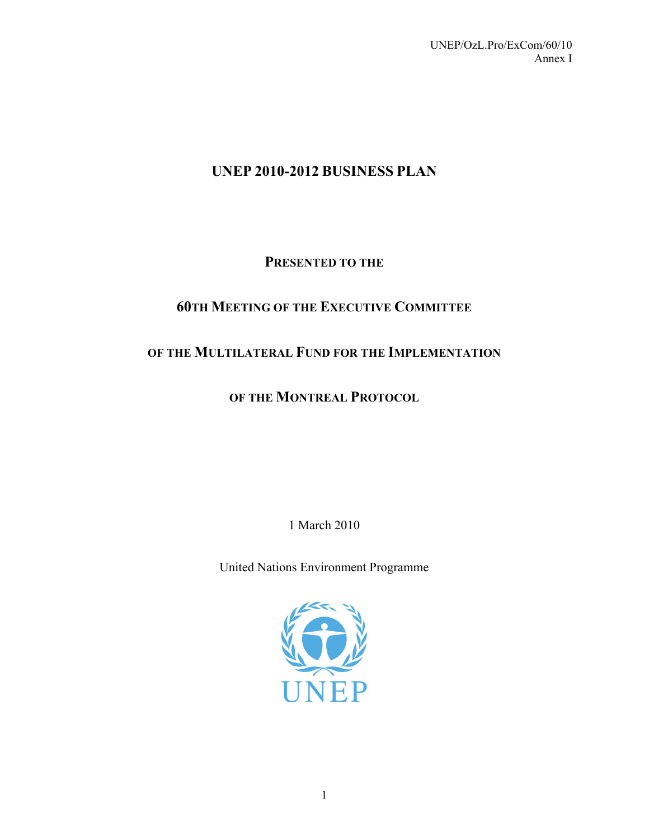# **UNEP 2010-2012 BUSINESS PLAN**

# **PRESENTED TO THE**

# **60TH MEETING OF THE EXECUTIVE COMMITTEE**

# **OF THE MULTILATERAL FUND FOR THE IMPLEMENTATION**

# **OF THE MONTREAL PROTOCOL**

1 March 2010

United Nations Environment Programme

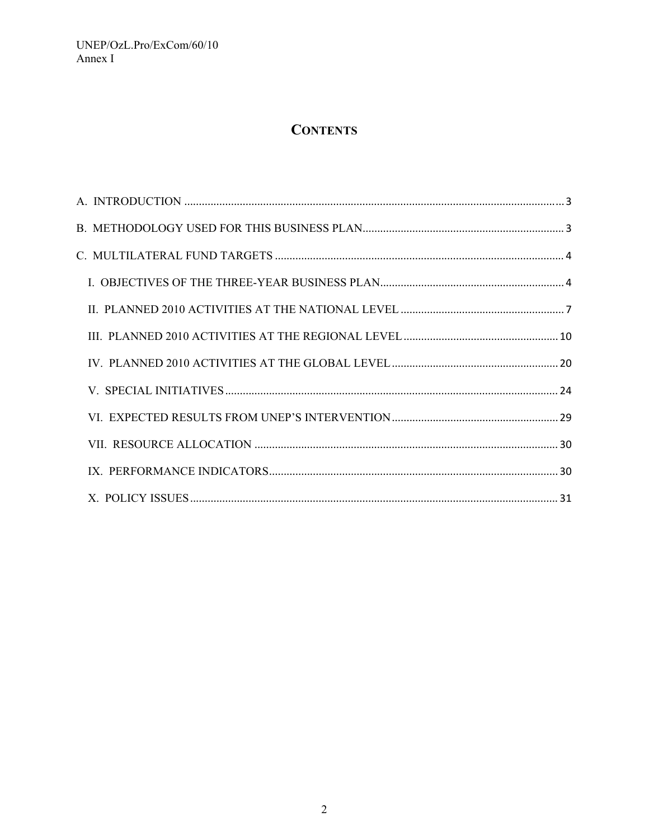# **CONTENTS**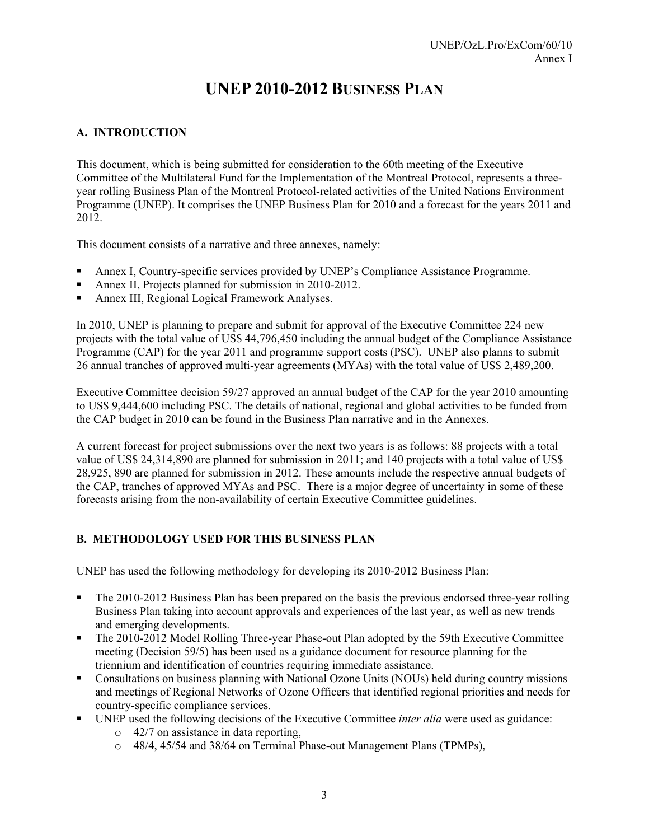# **UNEP 2010-2012 BUSINESS PLAN**

## **A. INTRODUCTION**

This document, which is being submitted for consideration to the 60th meeting of the Executive Committee of the Multilateral Fund for the Implementation of the Montreal Protocol, represents a threeyear rolling Business Plan of the Montreal Protocol-related activities of the United Nations Environment Programme (UNEP). It comprises the UNEP Business Plan for 2010 and a forecast for the years 2011 and 2012.

This document consists of a narrative and three annexes, namely:

- Annex I, Country-specific services provided by UNEP's Compliance Assistance Programme.
- Annex II, Projects planned for submission in 2010-2012.
- Annex III, Regional Logical Framework Analyses.

In 2010, UNEP is planning to prepare and submit for approval of the Executive Committee 224 new projects with the total value of US\$ 44,796,450 including the annual budget of the Compliance Assistance Programme (CAP) for the year 2011 and programme support costs (PSC). UNEP also planns to submit 26 annual tranches of approved multi-year agreements (MYAs) with the total value of US\$ 2,489,200.

Executive Committee decision 59/27 approved an annual budget of the CAP for the year 2010 amounting to US\$ 9,444,600 including PSC. The details of national, regional and global activities to be funded from the CAP budget in 2010 can be found in the Business Plan narrative and in the Annexes.

A current forecast for project submissions over the next two years is as follows: 88 projects with a total value of US\$ 24,314,890 are planned for submission in 2011; and 140 projects with a total value of US\$ 28,925, 890 are planned for submission in 2012. These amounts include the respective annual budgets of the CAP, tranches of approved MYAs and PSC. There is a major degree of uncertainty in some of these forecasts arising from the non-availability of certain Executive Committee guidelines.

## **B. METHODOLOGY USED FOR THIS BUSINESS PLAN**

UNEP has used the following methodology for developing its 2010-2012 Business Plan:

- The 2010-2012 Business Plan has been prepared on the basis the previous endorsed three-year rolling Business Plan taking into account approvals and experiences of the last year, as well as new trends and emerging developments.
- The 2010-2012 Model Rolling Three-year Phase-out Plan adopted by the 59th Executive Committee meeting (Decision 59/5) has been used as a guidance document for resource planning for the triennium and identification of countries requiring immediate assistance.
- Consultations on business planning with National Ozone Units (NOUs) held during country missions and meetings of Regional Networks of Ozone Officers that identified regional priorities and needs for country-specific compliance services.
- UNEP used the following decisions of the Executive Committee *inter alia* were used as guidance:
	- o 42/7 on assistance in data reporting,
	- o 48/4, 45/54 and 38/64 on Terminal Phase-out Management Plans (TPMPs),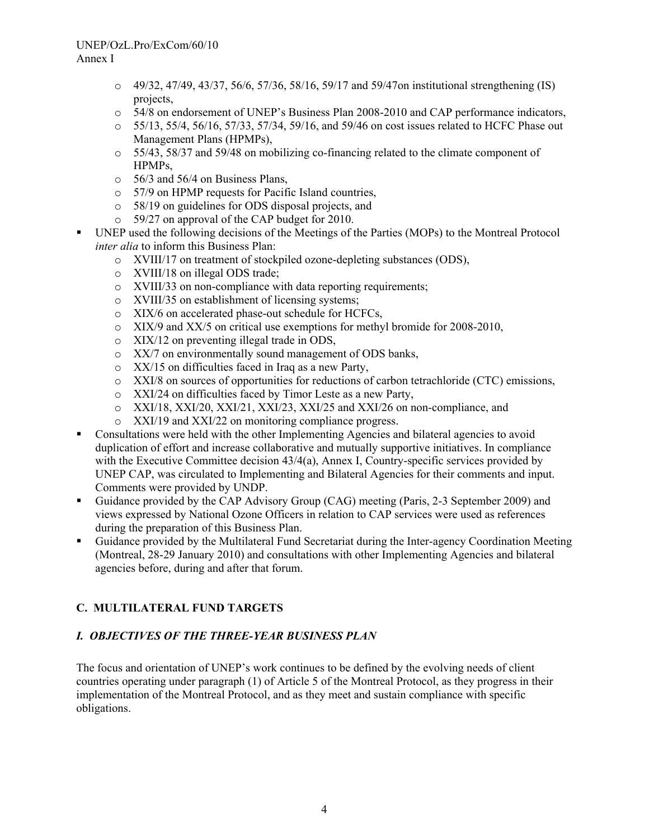- $\circ$  49/32, 47/49, 43/37, 56/6, 57/36, 58/16, 59/17 and 59/47 on institutional strengthening (IS) projects,
- o 54/8 on endorsement of UNEP's Business Plan 2008-2010 and CAP performance indicators,
- o 55/13, 55/4, 56/16, 57/33, 57/34, 59/16, and 59/46 on cost issues related to HCFC Phase out Management Plans (HPMPs),
- o 55/43, 58/37 and 59/48 on mobilizing co-financing related to the climate component of HPMPs,
- o 56/3 and 56/4 on Business Plans,
- o 57/9 on HPMP requests for Pacific Island countries,
- o 58/19 on guidelines for ODS disposal projects, and
- o 59/27 on approval of the CAP budget for 2010.
- UNEP used the following decisions of the Meetings of the Parties (MOPs) to the Montreal Protocol *inter alia* to inform this Business Plan:
	- o XVIII/17 on treatment of stockpiled ozone-depleting substances (ODS),
	- o XVIII/18 on illegal ODS trade;
	- o XVIII/33 on non-compliance with data reporting requirements;
	- o XVIII/35 on establishment of licensing systems;
	- o XIX/6 on accelerated phase-out schedule for HCFCs,
	- o XIX/9 and XX/5 on critical use exemptions for methyl bromide for 2008-2010,
	- o XIX/12 on preventing illegal trade in ODS,
	- o XX/7 on environmentally sound management of ODS banks,
	- o XX/15 on difficulties faced in Iraq as a new Party,
	- o XXI/8 on sources of opportunities for reductions of carbon tetrachloride (CTC) emissions,
	- o XXI/24 on difficulties faced by Timor Leste as a new Party,
	- o XXI/18, XXI/20, XXI/21, XXI/23, XXI/25 and XXI/26 on non-compliance, and
	- o XXI/19 and XXI/22 on monitoring compliance progress.
- Consultations were held with the other Implementing Agencies and bilateral agencies to avoid duplication of effort and increase collaborative and mutually supportive initiatives. In compliance with the Executive Committee decision 43/4(a), Annex I, Country-specific services provided by UNEP CAP, was circulated to Implementing and Bilateral Agencies for their comments and input. Comments were provided by UNDP.
- Guidance provided by the CAP Advisory Group (CAG) meeting (Paris, 2-3 September 2009) and views expressed by National Ozone Officers in relation to CAP services were used as references during the preparation of this Business Plan.
- Guidance provided by the Multilateral Fund Secretariat during the Inter-agency Coordination Meeting (Montreal, 28-29 January 2010) and consultations with other Implementing Agencies and bilateral agencies before, during and after that forum.

## **C. MULTILATERAL FUND TARGETS**

## *I. OBJECTIVES OF THE THREE-YEAR BUSINESS PLAN*

The focus and orientation of UNEP's work continues to be defined by the evolving needs of client countries operating under paragraph (1) of Article 5 of the Montreal Protocol, as they progress in their implementation of the Montreal Protocol, and as they meet and sustain compliance with specific obligations.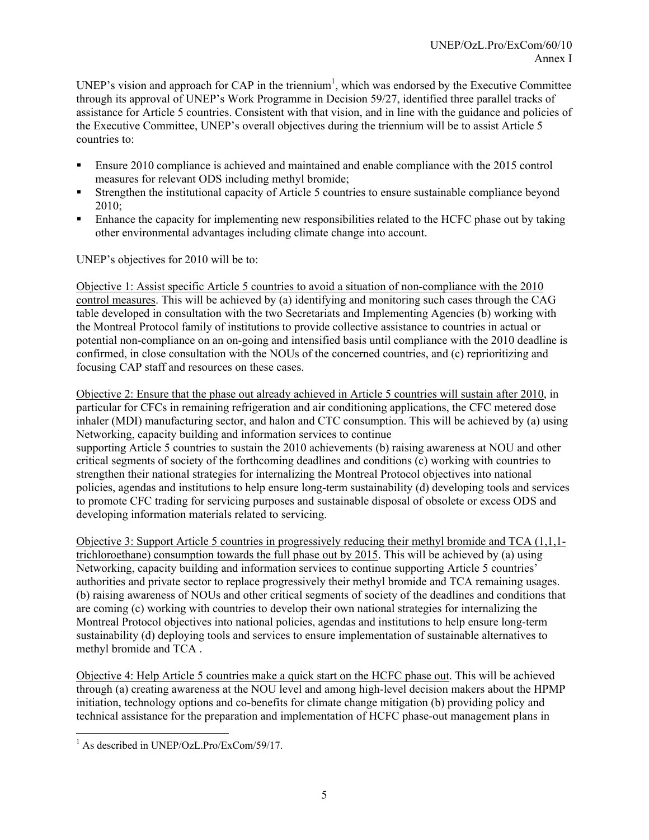UNEP's vision and approach for CAP in the triennium<sup>1</sup>, which was endorsed by the Executive Committee through its approval of UNEP's Work Programme in Decision 59/27, identified three parallel tracks of assistance for Article 5 countries. Consistent with that vision, and in line with the guidance and policies of the Executive Committee, UNEP's overall objectives during the triennium will be to assist Article 5 countries to:

- Ensure 2010 compliance is achieved and maintained and enable compliance with the 2015 control measures for relevant ODS including methyl bromide;
- Strengthen the institutional capacity of Article 5 countries to ensure sustainable compliance beyond 2010;
- Enhance the capacity for implementing new responsibilities related to the HCFC phase out by taking other environmental advantages including climate change into account.

UNEP's objectives for 2010 will be to:

Objective 1: Assist specific Article 5 countries to avoid a situation of non-compliance with the 2010 control measures. This will be achieved by (a) identifying and monitoring such cases through the CAG table developed in consultation with the two Secretariats and Implementing Agencies (b) working with the Montreal Protocol family of institutions to provide collective assistance to countries in actual or potential non-compliance on an on-going and intensified basis until compliance with the 2010 deadline is confirmed, in close consultation with the NOUs of the concerned countries, and (c) reprioritizing and focusing CAP staff and resources on these cases.

Objective 2: Ensure that the phase out already achieved in Article 5 countries will sustain after 2010, in particular for CFCs in remaining refrigeration and air conditioning applications, the CFC metered dose inhaler (MDI) manufacturing sector, and halon and CTC consumption. This will be achieved by (a) using Networking, capacity building and information services to continue supporting Article 5 countries to sustain the 2010 achievements (b) raising awareness at NOU and other critical segments of society of the forthcoming deadlines and conditions (c) working with countries to strengthen their national strategies for internalizing the Montreal Protocol objectives into national policies, agendas and institutions to help ensure long-term sustainability (d) developing tools and services to promote CFC trading for servicing purposes and sustainable disposal of obsolete or excess ODS and

developing information materials related to servicing. Objective 3: Support Article 5 countries in progressively reducing their methyl bromide and TCA (1,1,1 trichloroethane) consumption towards the full phase out by 2015. This will be achieved by (a) using Networking, capacity building and information services to continue supporting Article 5 countries'

authorities and private sector to replace progressively their methyl bromide and TCA remaining usages. (b) raising awareness of NOUs and other critical segments of society of the deadlines and conditions that are coming (c) working with countries to develop their own national strategies for internalizing the Montreal Protocol objectives into national policies, agendas and institutions to help ensure long-term sustainability (d) deploying tools and services to ensure implementation of sustainable alternatives to methyl bromide and TCA .

Objective 4: Help Article 5 countries make a quick start on the HCFC phase out. This will be achieved through (a) creating awareness at the NOU level and among high-level decision makers about the HPMP initiation, technology options and co-benefits for climate change mitigation (b) providing policy and technical assistance for the preparation and implementation of HCFC phase-out management plans in

<sup>&</sup>lt;sup>1</sup> As described in UNEP/OzL.Pro/ExCom/59/17.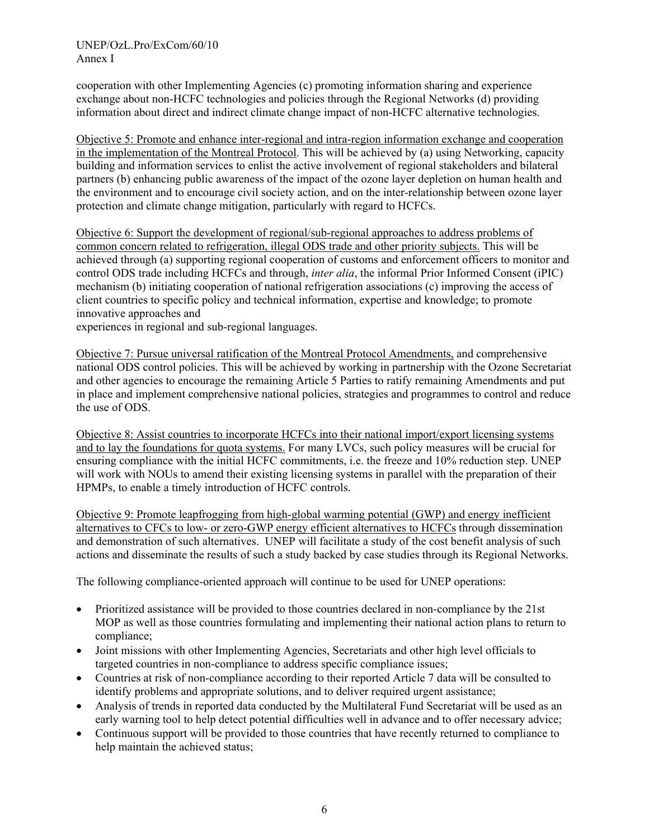cooperation with other Implementing Agencies (c) promoting information sharing and experience exchange about non-HCFC technologies and policies through the Regional Networks (d) providing information about direct and indirect climate change impact of non-HCFC alternative technologies.

Objective 5: Promote and enhance inter-regional and intra-region information exchange and cooperation in the implementation of the Montreal Protocol. This will be achieved by (a) using Networking, capacity building and information services to enlist the active involvement of regional stakeholders and bilateral partners (b) enhancing public awareness of the impact of the ozone layer depletion on human health and the environment and to encourage civil society action, and on the inter-relationship between ozone layer protection and climate change mitigation, particularly with regard to HCFCs.

Objective 6: Support the development of regional/sub-regional approaches to address problems of common concern related to refrigeration, illegal ODS trade and other priority subjects. This will be achieved through (a) supporting regional cooperation of customs and enforcement officers to monitor and control ODS trade including HCFCs and through, *inter alia*, the informal Prior Informed Consent (iPIC) mechanism (b) initiating cooperation of national refrigeration associations (c) improving the access of client countries to specific policy and technical information, expertise and knowledge; to promote innovative approaches and

experiences in regional and sub-regional languages.

Objective 7: Pursue universal ratification of the Montreal Protocol Amendments, and comprehensive national ODS control policies. This will be achieved by working in partnership with the Ozone Secretariat and other agencies to encourage the remaining Article 5 Parties to ratify remaining Amendments and put in place and implement comprehensive national policies, strategies and programmes to control and reduce the use of ODS.

Objective 8: Assist countries to incorporate HCFCs into their national import/export licensing systems and to lay the foundations for quota systems. For many LVCs, such policy measures will be crucial for ensuring compliance with the initial HCFC commitments, i.e. the freeze and 10% reduction step. UNEP will work with NOUs to amend their existing licensing systems in parallel with the preparation of their HPMPs, to enable a timely introduction of HCFC controls.

Objective 9: Promote leapfrogging from high-global warming potential (GWP) and energy inefficient alternatives to CFCs to low- or zero-GWP energy efficient alternatives to HCFCs through dissemination and demonstration of such alternatives. UNEP will facilitate a study of the cost benefit analysis of such actions and disseminate the results of such a study backed by case studies through its Regional Networks.

The following compliance-oriented approach will continue to be used for UNEP operations:

- Prioritized assistance will be provided to those countries declared in non-compliance by the 21st MOP as well as those countries formulating and implementing their national action plans to return to compliance;
- Joint missions with other Implementing Agencies, Secretariats and other high level officials to targeted countries in non-compliance to address specific compliance issues;
- Countries at risk of non-compliance according to their reported Article 7 data will be consulted to identify problems and appropriate solutions, and to deliver required urgent assistance;
- Analysis of trends in reported data conducted by the Multilateral Fund Secretariat will be used as an early warning tool to help detect potential difficulties well in advance and to offer necessary advice;
- Continuous support will be provided to those countries that have recently returned to compliance to help maintain the achieved status;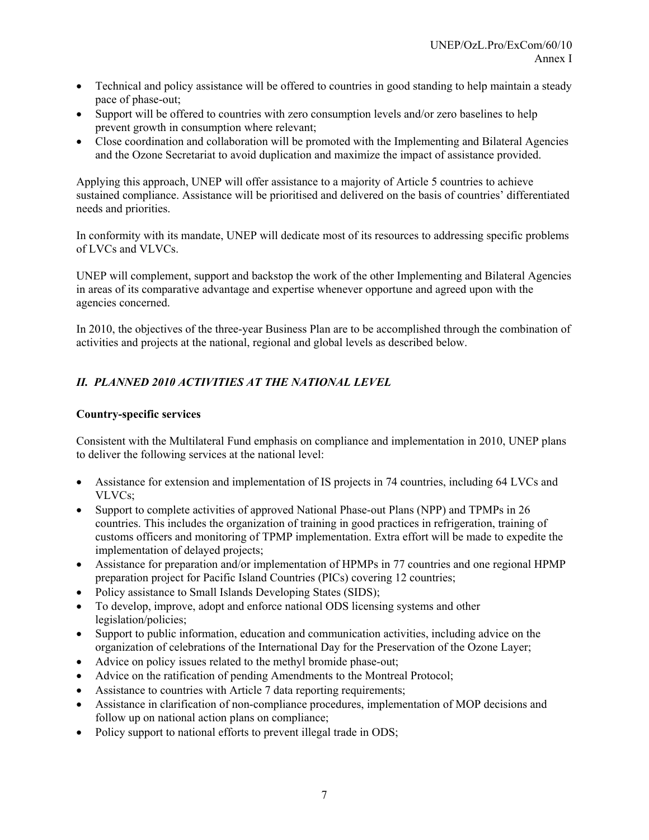- Technical and policy assistance will be offered to countries in good standing to help maintain a steady pace of phase-out;
- Support will be offered to countries with zero consumption levels and/or zero baselines to help prevent growth in consumption where relevant;
- Close coordination and collaboration will be promoted with the Implementing and Bilateral Agencies and the Ozone Secretariat to avoid duplication and maximize the impact of assistance provided.

Applying this approach, UNEP will offer assistance to a majority of Article 5 countries to achieve sustained compliance. Assistance will be prioritised and delivered on the basis of countries' differentiated needs and priorities.

In conformity with its mandate, UNEP will dedicate most of its resources to addressing specific problems of LVCs and VLVCs.

UNEP will complement, support and backstop the work of the other Implementing and Bilateral Agencies in areas of its comparative advantage and expertise whenever opportune and agreed upon with the agencies concerned.

In 2010, the objectives of the three-year Business Plan are to be accomplished through the combination of activities and projects at the national, regional and global levels as described below.

## *II. PLANNED 2010 ACTIVITIES AT THE NATIONAL LEVEL*

## **Country-specific services**

Consistent with the Multilateral Fund emphasis on compliance and implementation in 2010, UNEP plans to deliver the following services at the national level:

- Assistance for extension and implementation of IS projects in 74 countries, including 64 LVCs and VLVCs;
- Support to complete activities of approved National Phase-out Plans (NPP) and TPMPs in 26 countries. This includes the organization of training in good practices in refrigeration, training of customs officers and monitoring of TPMP implementation. Extra effort will be made to expedite the implementation of delayed projects;
- Assistance for preparation and/or implementation of HPMPs in 77 countries and one regional HPMP preparation project for Pacific Island Countries (PICs) covering 12 countries;
- Policy assistance to Small Islands Developing States (SIDS);
- To develop, improve, adopt and enforce national ODS licensing systems and other legislation/policies;
- Support to public information, education and communication activities, including advice on the organization of celebrations of the International Day for the Preservation of the Ozone Layer;
- Advice on policy issues related to the methyl bromide phase-out;
- Advice on the ratification of pending Amendments to the Montreal Protocol;
- Assistance to countries with Article 7 data reporting requirements;
- Assistance in clarification of non-compliance procedures, implementation of MOP decisions and follow up on national action plans on compliance;
- Policy support to national efforts to prevent illegal trade in ODS;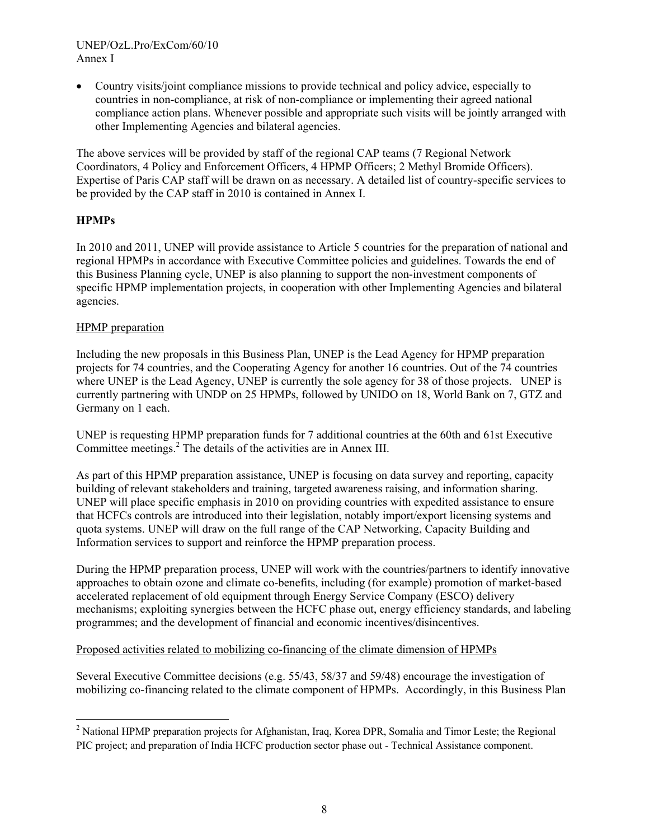• Country visits/joint compliance missions to provide technical and policy advice, especially to countries in non-compliance, at risk of non-compliance or implementing their agreed national compliance action plans. Whenever possible and appropriate such visits will be jointly arranged with other Implementing Agencies and bilateral agencies.

The above services will be provided by staff of the regional CAP teams (7 Regional Network Coordinators, 4 Policy and Enforcement Officers, 4 HPMP Officers; 2 Methyl Bromide Officers). Expertise of Paris CAP staff will be drawn on as necessary. A detailed list of country-specific services to be provided by the CAP staff in 2010 is contained in Annex I.

## **HPMPs**

In 2010 and 2011, UNEP will provide assistance to Article 5 countries for the preparation of national and regional HPMPs in accordance with Executive Committee policies and guidelines. Towards the end of this Business Planning cycle, UNEP is also planning to support the non-investment components of specific HPMP implementation projects, in cooperation with other Implementing Agencies and bilateral agencies.

## HPMP preparation

Including the new proposals in this Business Plan, UNEP is the Lead Agency for HPMP preparation projects for 74 countries, and the Cooperating Agency for another 16 countries. Out of the 74 countries where UNEP is the Lead Agency, UNEP is currently the sole agency for 38 of those projects. UNEP is currently partnering with UNDP on 25 HPMPs, followed by UNIDO on 18, World Bank on 7, GTZ and Germany on 1 each.

UNEP is requesting HPMP preparation funds for 7 additional countries at the 60th and 61st Executive Committee meetings.<sup>2</sup> The details of the activities are in Annex III.

As part of this HPMP preparation assistance, UNEP is focusing on data survey and reporting, capacity building of relevant stakeholders and training, targeted awareness raising, and information sharing. UNEP will place specific emphasis in 2010 on providing countries with expedited assistance to ensure that HCFCs controls are introduced into their legislation, notably import/export licensing systems and quota systems. UNEP will draw on the full range of the CAP Networking, Capacity Building and Information services to support and reinforce the HPMP preparation process.

During the HPMP preparation process, UNEP will work with the countries/partners to identify innovative approaches to obtain ozone and climate co-benefits, including (for example) promotion of market-based accelerated replacement of old equipment through Energy Service Company (ESCO) delivery mechanisms; exploiting synergies between the HCFC phase out, energy efficiency standards, and labeling programmes; and the development of financial and economic incentives/disincentives.

## Proposed activities related to mobilizing co-financing of the climate dimension of HPMPs

Several Executive Committee decisions (e.g. 55/43, 58/37 and 59/48) encourage the investigation of mobilizing co-financing related to the climate component of HPMPs. Accordingly, in this Business Plan

<sup>&</sup>lt;sup>2</sup> National HPMP preparation projects for Afghanistan, Iraq, Korea DPR, Somalia and Timor Leste; the Regional PIC project; and preparation of India HCFC production sector phase out - Technical Assistance component.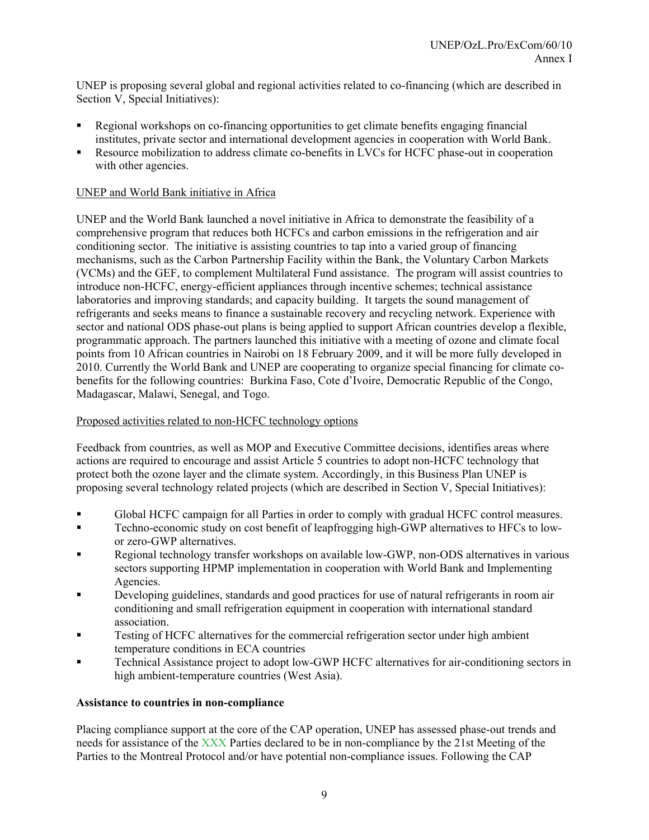UNEP is proposing several global and regional activities related to co-financing (which are described in Section V, Special Initiatives):

- Regional workshops on co-financing opportunities to get climate benefits engaging financial institutes, private sector and international development agencies in cooperation with World Bank.
- Resource mobilization to address climate co-benefits in LVCs for HCFC phase-out in cooperation with other agencies.

## UNEP and World Bank initiative in Africa

UNEP and the World Bank launched a novel initiative in Africa to demonstrate the feasibility of a comprehensive program that reduces both HCFCs and carbon emissions in the refrigeration and air conditioning sector. The initiative is assisting countries to tap into a varied group of financing mechanisms, such as the Carbon Partnership Facility within the Bank, the Voluntary Carbon Markets (VCMs) and the GEF, to complement Multilateral Fund assistance. The program will assist countries to introduce non-HCFC, energy-efficient appliances through incentive schemes; technical assistance laboratories and improving standards; and capacity building. It targets the sound management of refrigerants and seeks means to finance a sustainable recovery and recycling network. Experience with sector and national ODS phase-out plans is being applied to support African countries develop a flexible, programmatic approach. The partners launched this initiative with a meeting of ozone and climate focal points from 10 African countries in Nairobi on 18 February 2009, and it will be more fully developed in 2010. Currently the World Bank and UNEP are cooperating to organize special financing for climate cobenefits for the following countries: Burkina Faso, Cote d'Ivoire, Democratic Republic of the Congo, Madagascar, Malawi, Senegal, and Togo.

## Proposed activities related to non-HCFC technology options

Feedback from countries, as well as MOP and Executive Committee decisions, identifies areas where actions are required to encourage and assist Article 5 countries to adopt non-HCFC technology that protect both the ozone layer and the climate system. Accordingly, in this Business Plan UNEP is proposing several technology related projects (which are described in Section V, Special Initiatives):

- Global HCFC campaign for all Parties in order to comply with gradual HCFC control measures.
- Techno-economic study on cost benefit of leapfrogging high-GWP alternatives to HFCs to lowor zero-GWP alternatives.
- Regional technology transfer workshops on available low-GWP, non-ODS alternatives in various sectors supporting HPMP implementation in cooperation with World Bank and Implementing Agencies.
- Developing guidelines, standards and good practices for use of natural refrigerants in room air conditioning and small refrigeration equipment in cooperation with international standard association.
- Testing of HCFC alternatives for the commercial refrigeration sector under high ambient temperature conditions in ECA countries
- Technical Assistance project to adopt low-GWP HCFC alternatives for air-conditioning sectors in high ambient-temperature countries (West Asia).

#### **Assistance to countries in non-compliance**

Placing compliance support at the core of the CAP operation, UNEP has assessed phase-out trends and needs for assistance of the XXX Parties declared to be in non-compliance by the 21st Meeting of the Parties to the Montreal Protocol and/or have potential non-compliance issues. Following the CAP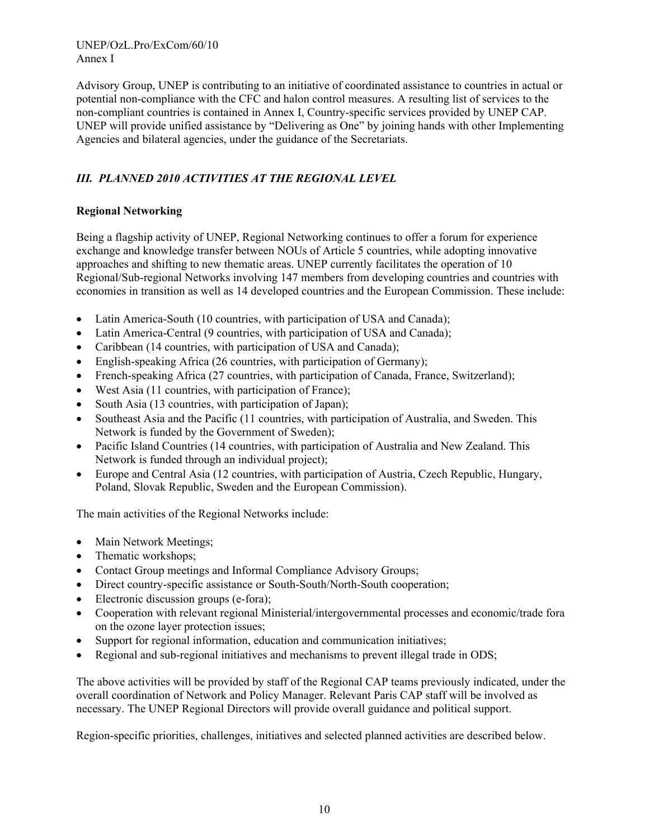Advisory Group, UNEP is contributing to an initiative of coordinated assistance to countries in actual or potential non-compliance with the CFC and halon control measures. A resulting list of services to the non-compliant countries is contained in Annex I, Country-specific services provided by UNEP CAP. UNEP will provide unified assistance by "Delivering as One" by joining hands with other Implementing Agencies and bilateral agencies, under the guidance of the Secretariats.

# *III. PLANNED 2010 ACTIVITIES AT THE REGIONAL LEVEL*

## **Regional Networking**

Being a flagship activity of UNEP, Regional Networking continues to offer a forum for experience exchange and knowledge transfer between NOUs of Article 5 countries, while adopting innovative approaches and shifting to new thematic areas. UNEP currently facilitates the operation of 10 Regional/Sub-regional Networks involving 147 members from developing countries and countries with economies in transition as well as 14 developed countries and the European Commission. These include:

- Latin America-South (10 countries, with participation of USA and Canada);
- Latin America-Central (9 countries, with participation of USA and Canada);
- Caribbean (14 countries, with participation of USA and Canada);
- English-speaking Africa (26 countries, with participation of Germany);
- French-speaking Africa (27 countries, with participation of Canada, France, Switzerland);
- West Asia (11 countries, with participation of France);
- South Asia (13 countries, with participation of Japan);
- Southeast Asia and the Pacific (11 countries, with participation of Australia, and Sweden. This Network is funded by the Government of Sweden);
- Pacific Island Countries (14 countries, with participation of Australia and New Zealand. This Network is funded through an individual project);
- Europe and Central Asia (12 countries, with participation of Austria, Czech Republic, Hungary, Poland, Slovak Republic, Sweden and the European Commission).

The main activities of the Regional Networks include:

- Main Network Meetings;
- Thematic workshops;
- Contact Group meetings and Informal Compliance Advisory Groups;
- Direct country-specific assistance or South-South/North-South cooperation;
- Electronic discussion groups (e-fora);
- Cooperation with relevant regional Ministerial/intergovernmental processes and economic/trade fora on the ozone layer protection issues;
- Support for regional information, education and communication initiatives;
- Regional and sub-regional initiatives and mechanisms to prevent illegal trade in ODS;

The above activities will be provided by staff of the Regional CAP teams previously indicated, under the overall coordination of Network and Policy Manager. Relevant Paris CAP staff will be involved as necessary. The UNEP Regional Directors will provide overall guidance and political support.

Region-specific priorities, challenges, initiatives and selected planned activities are described below.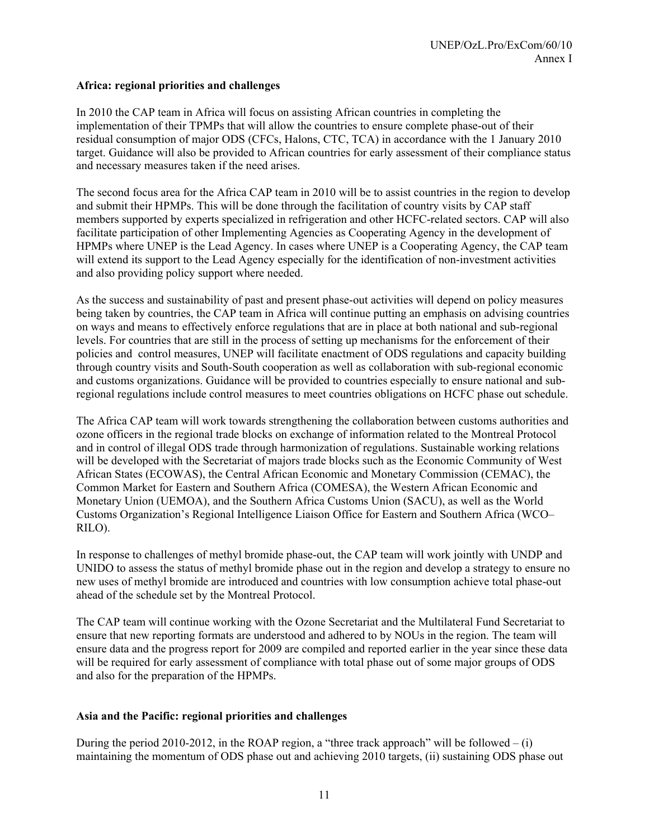## **Africa: regional priorities and challenges**

In 2010 the CAP team in Africa will focus on assisting African countries in completing the implementation of their TPMPs that will allow the countries to ensure complete phase-out of their residual consumption of major ODS (CFCs, Halons, CTC, TCA) in accordance with the 1 January 2010 target. Guidance will also be provided to African countries for early assessment of their compliance status and necessary measures taken if the need arises.

The second focus area for the Africa CAP team in 2010 will be to assist countries in the region to develop and submit their HPMPs. This will be done through the facilitation of country visits by CAP staff members supported by experts specialized in refrigeration and other HCFC-related sectors. CAP will also facilitate participation of other Implementing Agencies as Cooperating Agency in the development of HPMPs where UNEP is the Lead Agency. In cases where UNEP is a Cooperating Agency, the CAP team will extend its support to the Lead Agency especially for the identification of non-investment activities and also providing policy support where needed.

As the success and sustainability of past and present phase-out activities will depend on policy measures being taken by countries, the CAP team in Africa will continue putting an emphasis on advising countries on ways and means to effectively enforce regulations that are in place at both national and sub-regional levels. For countries that are still in the process of setting up mechanisms for the enforcement of their policies and control measures, UNEP will facilitate enactment of ODS regulations and capacity building through country visits and South-South cooperation as well as collaboration with sub-regional economic and customs organizations. Guidance will be provided to countries especially to ensure national and subregional regulations include control measures to meet countries obligations on HCFC phase out schedule.

The Africa CAP team will work towards strengthening the collaboration between customs authorities and ozone officers in the regional trade blocks on exchange of information related to the Montreal Protocol and in control of illegal ODS trade through harmonization of regulations. Sustainable working relations will be developed with the Secretariat of majors trade blocks such as the Economic Community of West African States (ECOWAS), the Central African Economic and Monetary Commission (CEMAC), the Common Market for Eastern and Southern Africa (COMESA), the Western African Economic and Monetary Union (UEMOA), and the Southern Africa Customs Union (SACU), as well as the World Customs Organization's Regional Intelligence Liaison Office for Eastern and Southern Africa (WCO– RILO).

In response to challenges of methyl bromide phase-out, the CAP team will work jointly with UNDP and UNIDO to assess the status of methyl bromide phase out in the region and develop a strategy to ensure no new uses of methyl bromide are introduced and countries with low consumption achieve total phase-out ahead of the schedule set by the Montreal Protocol.

The CAP team will continue working with the Ozone Secretariat and the Multilateral Fund Secretariat to ensure that new reporting formats are understood and adhered to by NOUs in the region. The team will ensure data and the progress report for 2009 are compiled and reported earlier in the year since these data will be required for early assessment of compliance with total phase out of some major groups of ODS and also for the preparation of the HPMPs.

#### **Asia and the Pacific: regional priorities and challenges**

During the period 2010-2012, in the ROAP region, a "three track approach" will be followed  $- (i)$ maintaining the momentum of ODS phase out and achieving 2010 targets, (ii) sustaining ODS phase out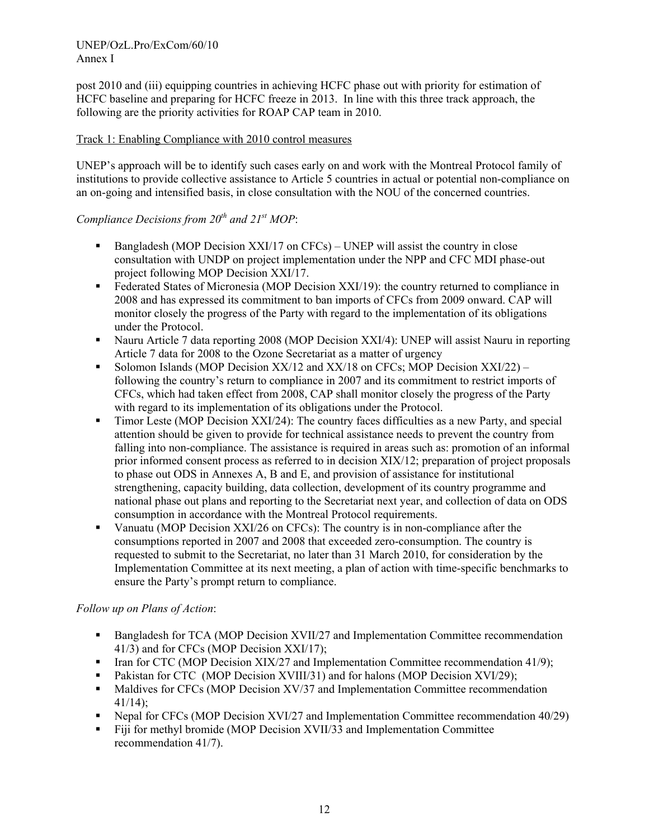post 2010 and (iii) equipping countries in achieving HCFC phase out with priority for estimation of HCFC baseline and preparing for HCFC freeze in 2013. In line with this three track approach, the following are the priority activities for ROAP CAP team in 2010.

## Track 1: Enabling Compliance with 2010 control measures

UNEP's approach will be to identify such cases early on and work with the Montreal Protocol family of institutions to provide collective assistance to Article 5 countries in actual or potential non-compliance on an on-going and intensified basis, in close consultation with the NOU of the concerned countries.

## *Compliance Decisions from 20<sup>th</sup> and 21<sup>st</sup> MOP:*

- Bangladesh (MOP Decision XXI/17 on  $CFCs$ ) UNEP will assist the country in close consultation with UNDP on project implementation under the NPP and CFC MDI phase-out project following MOP Decision XXI/17.
- Federated States of Micronesia (MOP Decision XXI/19): the country returned to compliance in 2008 and has expressed its commitment to ban imports of CFCs from 2009 onward. CAP will monitor closely the progress of the Party with regard to the implementation of its obligations under the Protocol.
- Nauru Article 7 data reporting 2008 (MOP Decision XXI/4): UNEP will assist Nauru in reporting Article 7 data for 2008 to the Ozone Secretariat as a matter of urgency
- Solomon Islands (MOP Decision  $XX/12$  and  $XX/18$  on CFCs; MOP Decision  $XXI/22$ ) following the country's return to compliance in 2007 and its commitment to restrict imports of CFCs, which had taken effect from 2008, CAP shall monitor closely the progress of the Party with regard to its implementation of its obligations under the Protocol.
- Timor Leste (MOP Decision XXI/24): The country faces difficulties as a new Party, and special attention should be given to provide for technical assistance needs to prevent the country from falling into non-compliance. The assistance is required in areas such as: promotion of an informal prior informed consent process as referred to in decision XIX/12; preparation of project proposals to phase out ODS in Annexes A, B and E, and provision of assistance for institutional strengthening, capacity building, data collection, development of its country programme and national phase out plans and reporting to the Secretariat next year, and collection of data on ODS consumption in accordance with the Montreal Protocol requirements.
- Vanuatu (MOP Decision XXI/26 on CFCs): The country is in non-compliance after the consumptions reported in 2007 and 2008 that exceeded zero-consumption. The country is requested to submit to the Secretariat, no later than 31 March 2010, for consideration by the Implementation Committee at its next meeting, a plan of action with time-specific benchmarks to ensure the Party's prompt return to compliance.

## *Follow up on Plans of Action*:

- **Bangladesh for TCA (MOP Decision XVII/27 and Implementation Committee recommendation** 41/3) and for CFCs (MOP Decision XXI/17);
- Iran for CTC (MOP Decision  $XIX/27$  and Implementation Committee recommendation 41/9);
- Pakistan for CTC (MOP Decision XVIII/31) and for halons (MOP Decision XVI/29);
- Maldives for CFCs (MOP Decision XV/37 and Implementation Committee recommendation  $41/14$
- Nepal for CFCs (MOP Decision XVI/27 and Implementation Committee recommendation 40/29)
- Fiji for methyl bromide (MOP Decision XVII/33 and Implementation Committee recommendation 41/7).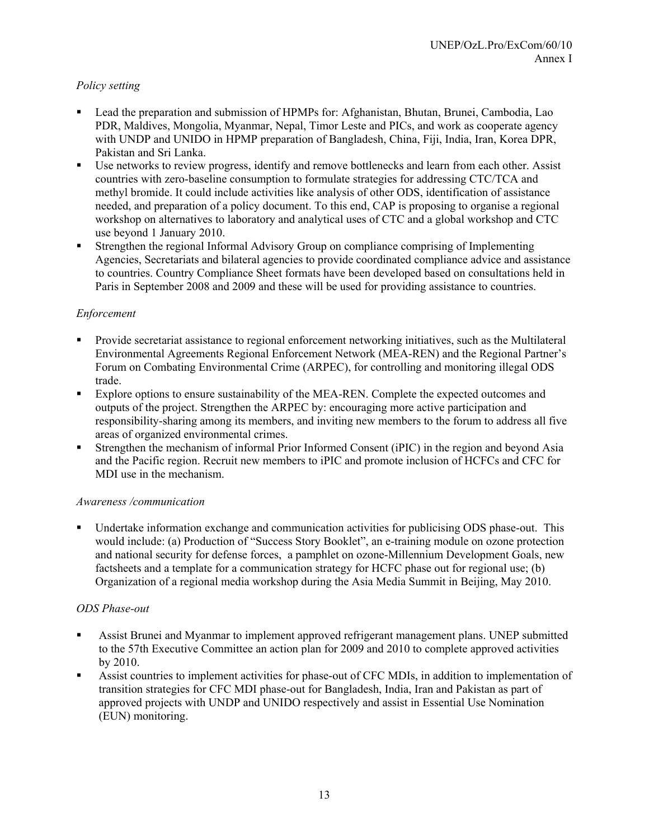## *Policy setting*

- Lead the preparation and submission of HPMPs for: Afghanistan, Bhutan, Brunei, Cambodia, Lao PDR, Maldives, Mongolia, Myanmar, Nepal, Timor Leste and PICs, and work as cooperate agency with UNDP and UNIDO in HPMP preparation of Bangladesh, China, Fiji, India, Iran, Korea DPR, Pakistan and Sri Lanka.
- Use networks to review progress, identify and remove bottlenecks and learn from each other. Assist countries with zero-baseline consumption to formulate strategies for addressing CTC/TCA and methyl bromide. It could include activities like analysis of other ODS, identification of assistance needed, and preparation of a policy document. To this end, CAP is proposing to organise a regional workshop on alternatives to laboratory and analytical uses of CTC and a global workshop and CTC use beyond 1 January 2010.
- Strengthen the regional Informal Advisory Group on compliance comprising of Implementing Agencies, Secretariats and bilateral agencies to provide coordinated compliance advice and assistance to countries. Country Compliance Sheet formats have been developed based on consultations held in Paris in September 2008 and 2009 and these will be used for providing assistance to countries.

## *Enforcement*

- Provide secretariat assistance to regional enforcement networking initiatives, such as the Multilateral Environmental Agreements Regional Enforcement Network (MEA-REN) and the Regional Partner's Forum on Combating Environmental Crime (ARPEC), for controlling and monitoring illegal ODS trade.
- Explore options to ensure sustainability of the MEA-REN. Complete the expected outcomes and outputs of the project. Strengthen the ARPEC by: encouraging more active participation and responsibility-sharing among its members, and inviting new members to the forum to address all five areas of organized environmental crimes.
- Strengthen the mechanism of informal Prior Informed Consent (iPIC) in the region and beyond Asia and the Pacific region. Recruit new members to iPIC and promote inclusion of HCFCs and CFC for MDI use in the mechanism.

## *Awareness /communication*

 Undertake information exchange and communication activities for publicising ODS phase-out. This would include: (a) Production of "Success Story Booklet", an e-training module on ozone protection and national security for defense forces, a pamphlet on ozone-Millennium Development Goals, new factsheets and a template for a communication strategy for HCFC phase out for regional use; (b) Organization of a regional media workshop during the Asia Media Summit in Beijing, May 2010.

## *ODS Phase-out*

- Assist Brunei and Myanmar to implement approved refrigerant management plans. UNEP submitted to the 57th Executive Committee an action plan for 2009 and 2010 to complete approved activities by 2010.
- Assist countries to implement activities for phase-out of CFC MDIs, in addition to implementation of transition strategies for CFC MDI phase-out for Bangladesh, India, Iran and Pakistan as part of approved projects with UNDP and UNIDO respectively and assist in Essential Use Nomination (EUN) monitoring.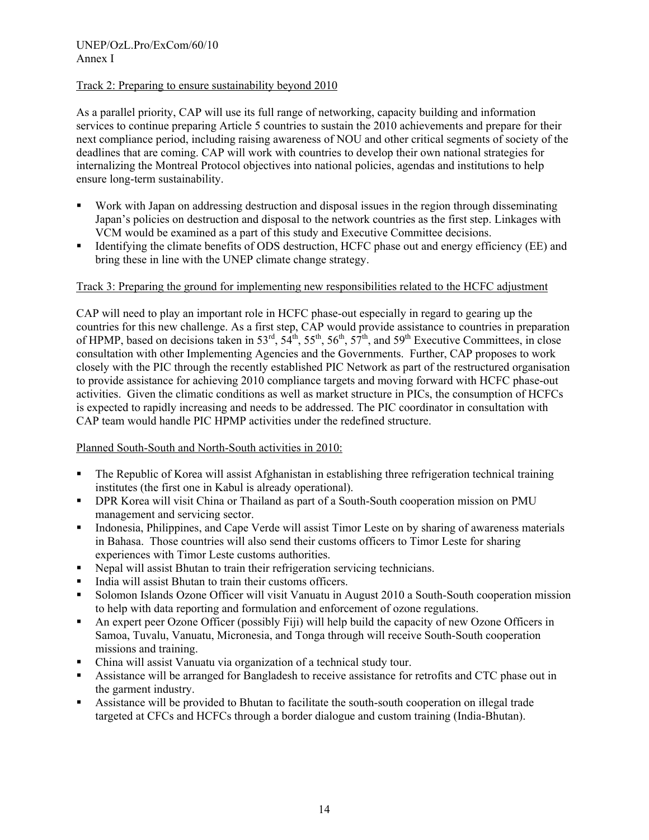## Track 2: Preparing to ensure sustainability beyond 2010

As a parallel priority, CAP will use its full range of networking, capacity building and information services to continue preparing Article 5 countries to sustain the 2010 achievements and prepare for their next compliance period, including raising awareness of NOU and other critical segments of society of the deadlines that are coming. CAP will work with countries to develop their own national strategies for internalizing the Montreal Protocol objectives into national policies, agendas and institutions to help ensure long-term sustainability.

- Work with Japan on addressing destruction and disposal issues in the region through disseminating Japan's policies on destruction and disposal to the network countries as the first step. Linkages with VCM would be examined as a part of this study and Executive Committee decisions.
- Identifying the climate benefits of ODS destruction, HCFC phase out and energy efficiency (EE) and bring these in line with the UNEP climate change strategy.

## Track 3: Preparing the ground for implementing new responsibilities related to the HCFC adjustment

CAP will need to play an important role in HCFC phase-out especially in regard to gearing up the countries for this new challenge. As a first step, CAP would provide assistance to countries in preparation of HPMP, based on decisions taken in 53<sup>rd</sup>, 54<sup>th</sup>, 55<sup>th</sup>, 56<sup>th</sup>, 57<sup>th</sup>, and 59<sup>th</sup> Executive Committees, in close consultation with other Implementing Agencies and the Governments. Further, CAP proposes to work closely with the PIC through the recently established PIC Network as part of the restructured organisation to provide assistance for achieving 2010 compliance targets and moving forward with HCFC phase-out activities. Given the climatic conditions as well as market structure in PICs, the consumption of HCFCs is expected to rapidly increasing and needs to be addressed. The PIC coordinator in consultation with CAP team would handle PIC HPMP activities under the redefined structure.

## Planned South-South and North-South activities in 2010:

- The Republic of Korea will assist Afghanistan in establishing three refrigeration technical training institutes (the first one in Kabul is already operational).
- DPR Korea will visit China or Thailand as part of a South-South cooperation mission on PMU management and servicing sector.
- Indonesia, Philippines, and Cape Verde will assist Timor Leste on by sharing of awareness materials in Bahasa. Those countries will also send their customs officers to Timor Leste for sharing experiences with Timor Leste customs authorities.
- Nepal will assist Bhutan to train their refrigeration servicing technicians.
- India will assist Bhutan to train their customs officers.
- Solomon Islands Ozone Officer will visit Vanuatu in August 2010 a South-South cooperation mission to help with data reporting and formulation and enforcement of ozone regulations.
- An expert peer Ozone Officer (possibly Fiji) will help build the capacity of new Ozone Officers in Samoa, Tuvalu, Vanuatu, Micronesia, and Tonga through will receive South-South cooperation missions and training.
- China will assist Vanuatu via organization of a technical study tour.
- Assistance will be arranged for Bangladesh to receive assistance for retrofits and CTC phase out in the garment industry.
- Assistance will be provided to Bhutan to facilitate the south-south cooperation on illegal trade targeted at CFCs and HCFCs through a border dialogue and custom training (India-Bhutan).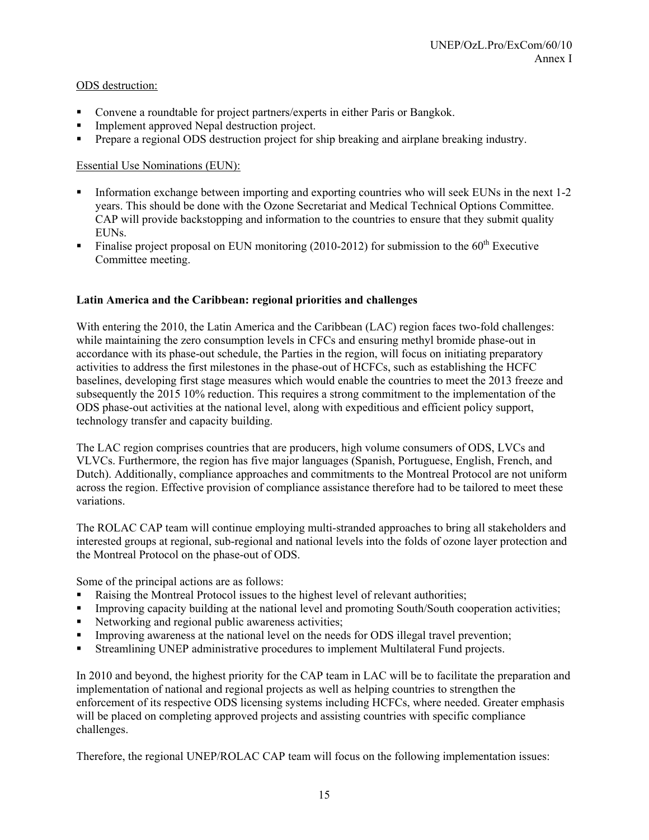## ODS destruction:

- Convene a roundtable for project partners/experts in either Paris or Bangkok.
- **Implement approved Nepal destruction project.**
- Prepare a regional ODS destruction project for ship breaking and airplane breaking industry.

## Essential Use Nominations (EUN):

- Information exchange between importing and exporting countries who will seek EUNs in the next 1-2 years. This should be done with the Ozone Secretariat and Medical Technical Options Committee. CAP will provide backstopping and information to the countries to ensure that they submit quality EUNs.
- Finalise project proposal on EUN monitoring (2010-2012) for submission to the  $60<sup>th</sup>$  Executive Committee meeting.

## **Latin America and the Caribbean: regional priorities and challenges**

With entering the 2010, the Latin America and the Caribbean (LAC) region faces two-fold challenges: while maintaining the zero consumption levels in CFCs and ensuring methyl bromide phase-out in accordance with its phase-out schedule, the Parties in the region, will focus on initiating preparatory activities to address the first milestones in the phase-out of HCFCs, such as establishing the HCFC baselines, developing first stage measures which would enable the countries to meet the 2013 freeze and subsequently the 2015 10% reduction. This requires a strong commitment to the implementation of the ODS phase-out activities at the national level, along with expeditious and efficient policy support, technology transfer and capacity building.

The LAC region comprises countries that are producers, high volume consumers of ODS, LVCs and VLVCs. Furthermore, the region has five major languages (Spanish, Portuguese, English, French, and Dutch). Additionally, compliance approaches and commitments to the Montreal Protocol are not uniform across the region. Effective provision of compliance assistance therefore had to be tailored to meet these variations.

The ROLAC CAP team will continue employing multi-stranded approaches to bring all stakeholders and interested groups at regional, sub-regional and national levels into the folds of ozone layer protection and the Montreal Protocol on the phase-out of ODS.

Some of the principal actions are as follows:

- Raising the Montreal Protocol issues to the highest level of relevant authorities;
- **IMPROVING CONSERVANT CONSERVANT CONSERVANT CONSERVANT CONSERVANT CONSERVANT CONSERVANT CONSERVANT CONSERVANT CONSERVANT CONSERVANT CONSERVANT CONSERVANT CONSERVANT CONSERVANT CONSERVANT CONSERVANT CONSERVANT CONSERVANT CO**
- Networking and regional public awareness activities;
- Improving awareness at the national level on the needs for ODS illegal travel prevention;
- Streamlining UNEP administrative procedures to implement Multilateral Fund projects.

In 2010 and beyond, the highest priority for the CAP team in LAC will be to facilitate the preparation and implementation of national and regional projects as well as helping countries to strengthen the enforcement of its respective ODS licensing systems including HCFCs, where needed. Greater emphasis will be placed on completing approved projects and assisting countries with specific compliance challenges.

Therefore, the regional UNEP/ROLAC CAP team will focus on the following implementation issues: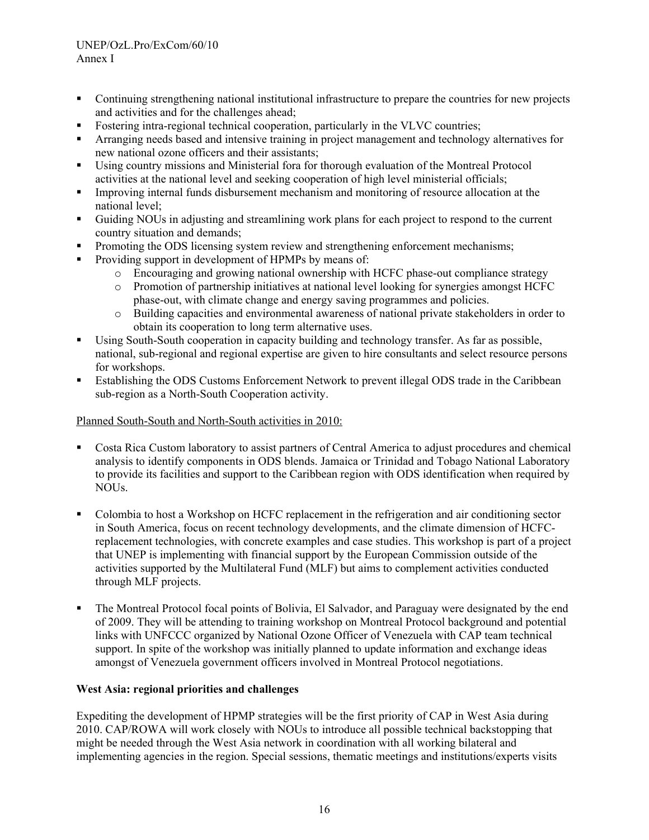- Continuing strengthening national institutional infrastructure to prepare the countries for new projects and activities and for the challenges ahead;
- Fostering intra-regional technical cooperation, particularly in the VLVC countries;
- Arranging needs based and intensive training in project management and technology alternatives for new national ozone officers and their assistants;
- Using country missions and Ministerial fora for thorough evaluation of the Montreal Protocol activities at the national level and seeking cooperation of high level ministerial officials;
- Improving internal funds disbursement mechanism and monitoring of resource allocation at the national level;
- Guiding NOUs in adjusting and streamlining work plans for each project to respond to the current country situation and demands;
- Promoting the ODS licensing system review and strengthening enforcement mechanisms;
- Providing support in development of HPMPs by means of:
	- o Encouraging and growing national ownership with HCFC phase-out compliance strategy
	- o Promotion of partnership initiatives at national level looking for synergies amongst HCFC phase-out, with climate change and energy saving programmes and policies.
	- o Building capacities and environmental awareness of national private stakeholders in order to obtain its cooperation to long term alternative uses.
- Using South-South cooperation in capacity building and technology transfer. As far as possible, national, sub-regional and regional expertise are given to hire consultants and select resource persons for workshops.
- Establishing the ODS Customs Enforcement Network to prevent illegal ODS trade in the Caribbean sub-region as a North-South Cooperation activity.

## Planned South-South and North-South activities in 2010:

- Costa Rica Custom laboratory to assist partners of Central America to adjust procedures and chemical analysis to identify components in ODS blends. Jamaica or Trinidad and Tobago National Laboratory to provide its facilities and support to the Caribbean region with ODS identification when required by NOUs.
- Colombia to host a Workshop on HCFC replacement in the refrigeration and air conditioning sector in South America, focus on recent technology developments, and the climate dimension of HCFCreplacement technologies, with concrete examples and case studies. This workshop is part of a project that UNEP is implementing with financial support by the European Commission outside of the activities supported by the Multilateral Fund (MLF) but aims to complement activities conducted through MLF projects.
- The Montreal Protocol focal points of Bolivia, El Salvador, and Paraguay were designated by the end of 2009. They will be attending to training workshop on Montreal Protocol background and potential links with UNFCCC organized by National Ozone Officer of Venezuela with CAP team technical support. In spite of the workshop was initially planned to update information and exchange ideas amongst of Venezuela government officers involved in Montreal Protocol negotiations.

## **West Asia: regional priorities and challenges**

Expediting the development of HPMP strategies will be the first priority of CAP in West Asia during 2010. CAP/ROWA will work closely with NOUs to introduce all possible technical backstopping that might be needed through the West Asia network in coordination with all working bilateral and implementing agencies in the region. Special sessions, thematic meetings and institutions/experts visits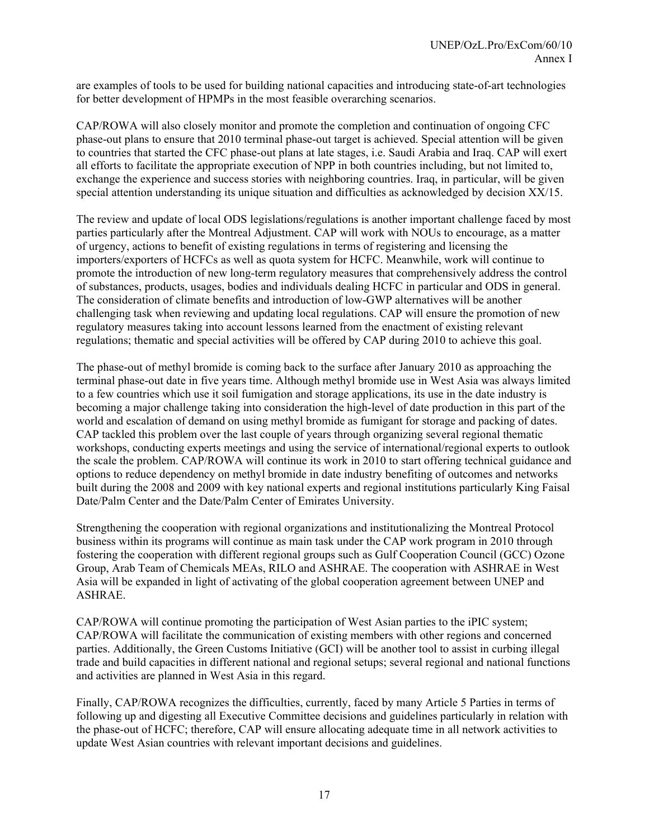are examples of tools to be used for building national capacities and introducing state-of-art technologies for better development of HPMPs in the most feasible overarching scenarios.

CAP/ROWA will also closely monitor and promote the completion and continuation of ongoing CFC phase-out plans to ensure that 2010 terminal phase-out target is achieved. Special attention will be given to countries that started the CFC phase-out plans at late stages, i.e. Saudi Arabia and Iraq. CAP will exert all efforts to facilitate the appropriate execution of NPP in both countries including, but not limited to, exchange the experience and success stories with neighboring countries. Iraq, in particular, will be given special attention understanding its unique situation and difficulties as acknowledged by decision XX/15.

The review and update of local ODS legislations/regulations is another important challenge faced by most parties particularly after the Montreal Adjustment. CAP will work with NOUs to encourage, as a matter of urgency, actions to benefit of existing regulations in terms of registering and licensing the importers/exporters of HCFCs as well as quota system for HCFC. Meanwhile, work will continue to promote the introduction of new long-term regulatory measures that comprehensively address the control of substances, products, usages, bodies and individuals dealing HCFC in particular and ODS in general. The consideration of climate benefits and introduction of low-GWP alternatives will be another challenging task when reviewing and updating local regulations. CAP will ensure the promotion of new regulatory measures taking into account lessons learned from the enactment of existing relevant regulations; thematic and special activities will be offered by CAP during 2010 to achieve this goal.

The phase-out of methyl bromide is coming back to the surface after January 2010 as approaching the terminal phase-out date in five years time. Although methyl bromide use in West Asia was always limited to a few countries which use it soil fumigation and storage applications, its use in the date industry is becoming a major challenge taking into consideration the high-level of date production in this part of the world and escalation of demand on using methyl bromide as fumigant for storage and packing of dates. CAP tackled this problem over the last couple of years through organizing several regional thematic workshops, conducting experts meetings and using the service of international/regional experts to outlook the scale the problem. CAP/ROWA will continue its work in 2010 to start offering technical guidance and options to reduce dependency on methyl bromide in date industry benefiting of outcomes and networks built during the 2008 and 2009 with key national experts and regional institutions particularly King Faisal Date/Palm Center and the Date/Palm Center of Emirates University.

Strengthening the cooperation with regional organizations and institutionalizing the Montreal Protocol business within its programs will continue as main task under the CAP work program in 2010 through fostering the cooperation with different regional groups such as Gulf Cooperation Council (GCC) Ozone Group, Arab Team of Chemicals MEAs, RILO and ASHRAE. The cooperation with ASHRAE in West Asia will be expanded in light of activating of the global cooperation agreement between UNEP and ASHRAE.

CAP/ROWA will continue promoting the participation of West Asian parties to the iPIC system; CAP/ROWA will facilitate the communication of existing members with other regions and concerned parties. Additionally, the Green Customs Initiative (GCI) will be another tool to assist in curbing illegal trade and build capacities in different national and regional setups; several regional and national functions and activities are planned in West Asia in this regard.

Finally, CAP/ROWA recognizes the difficulties, currently, faced by many Article 5 Parties in terms of following up and digesting all Executive Committee decisions and guidelines particularly in relation with the phase-out of HCFC; therefore, CAP will ensure allocating adequate time in all network activities to update West Asian countries with relevant important decisions and guidelines.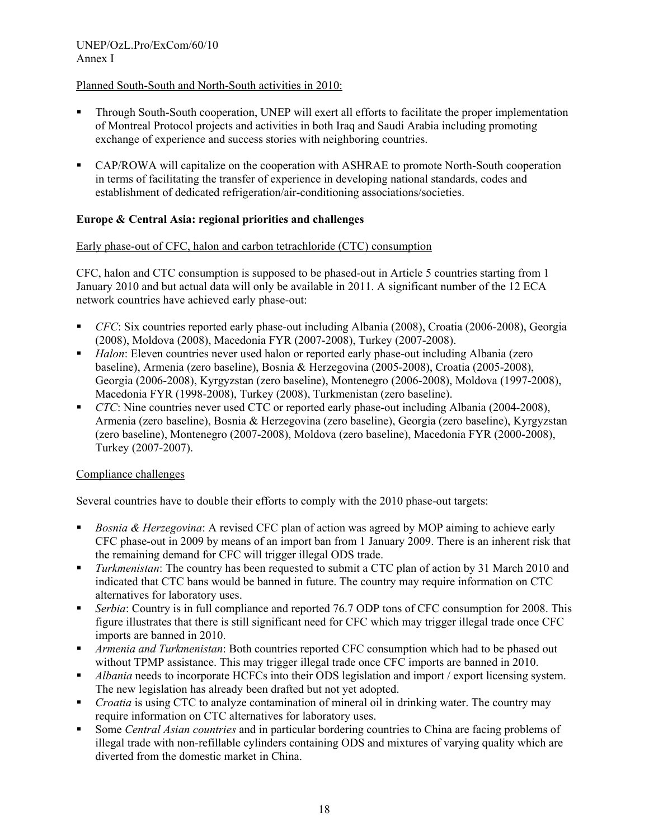## Planned South-South and North-South activities in 2010:

- Through South-South cooperation, UNEP will exert all efforts to facilitate the proper implementation of Montreal Protocol projects and activities in both Iraq and Saudi Arabia including promoting exchange of experience and success stories with neighboring countries.
- CAP/ROWA will capitalize on the cooperation with ASHRAE to promote North-South cooperation in terms of facilitating the transfer of experience in developing national standards, codes and establishment of dedicated refrigeration/air-conditioning associations/societies.

## **Europe & Central Asia: regional priorities and challenges**

## Early phase-out of CFC, halon and carbon tetrachloride (CTC) consumption

CFC, halon and CTC consumption is supposed to be phased-out in Article 5 countries starting from 1 January 2010 and but actual data will only be available in 2011. A significant number of the 12 ECA network countries have achieved early phase-out:

- *CFC*: Six countries reported early phase-out including Albania (2008), Croatia (2006-2008), Georgia (2008), Moldova (2008), Macedonia FYR (2007-2008), Turkey (2007-2008).
- *Halon*: Eleven countries never used halon or reported early phase-out including Albania (zero baseline), Armenia (zero baseline), Bosnia & Herzegovina (2005-2008), Croatia (2005-2008), Georgia (2006-2008), Kyrgyzstan (zero baseline), Montenegro (2006-2008), Moldova (1997-2008), Macedonia FYR (1998-2008), Turkey (2008), Turkmenistan (zero baseline).
- **CTC:** Nine countries never used CTC or reported early phase-out including Albania (2004-2008), Armenia (zero baseline), Bosnia & Herzegovina (zero baseline), Georgia (zero baseline), Kyrgyzstan (zero baseline), Montenegro (2007-2008), Moldova (zero baseline), Macedonia FYR (2000-2008), Turkey (2007-2007).

## Compliance challenges

Several countries have to double their efforts to comply with the 2010 phase-out targets:

- *Bosnia & Herzegovina*: A revised CFC plan of action was agreed by MOP aiming to achieve early CFC phase-out in 2009 by means of an import ban from 1 January 2009. There is an inherent risk that the remaining demand for CFC will trigger illegal ODS trade.
- *Turkmenistan*: The country has been requested to submit a CTC plan of action by 31 March 2010 and indicated that CTC bans would be banned in future. The country may require information on CTC alternatives for laboratory uses.
- *Serbia*: Country is in full compliance and reported 76.7 ODP tons of CFC consumption for 2008. This figure illustrates that there is still significant need for CFC which may trigger illegal trade once CFC imports are banned in 2010.
- *Armenia and Turkmenistan*: Both countries reported CFC consumption which had to be phased out without TPMP assistance. This may trigger illegal trade once CFC imports are banned in 2010.
- *Albania* needs to incorporate HCFCs into their ODS legislation and import / export licensing system. The new legislation has already been drafted but not yet adopted.
- *Croatia* is using CTC to analyze contamination of mineral oil in drinking water. The country may require information on CTC alternatives for laboratory uses.
- Some *Central Asian countries* and in particular bordering countries to China are facing problems of illegal trade with non-refillable cylinders containing ODS and mixtures of varying quality which are diverted from the domestic market in China.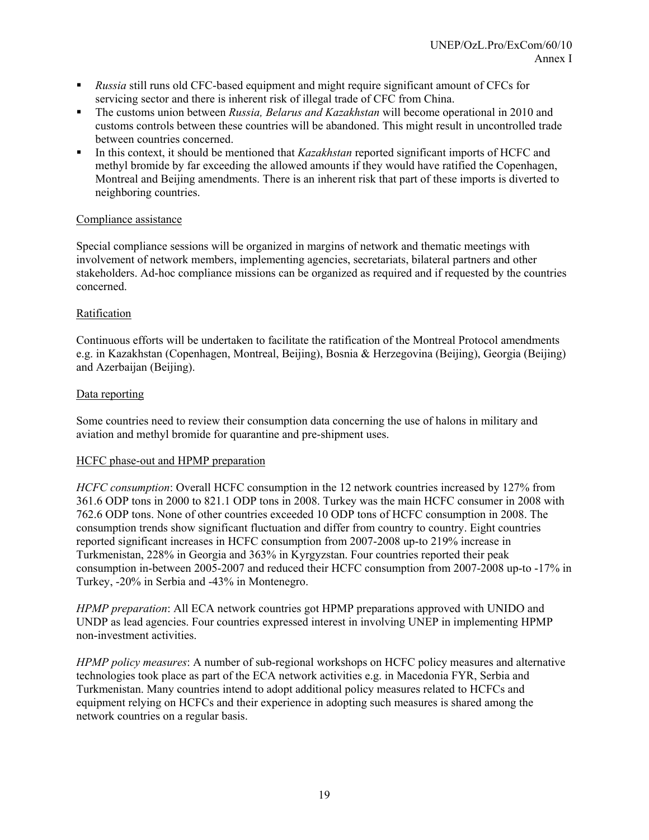- *Russia* still runs old CFC-based equipment and might require significant amount of CFCs for servicing sector and there is inherent risk of illegal trade of CFC from China.
- The customs union between *Russia, Belarus and Kazakhstan* will become operational in 2010 and customs controls between these countries will be abandoned. This might result in uncontrolled trade between countries concerned.
- In this context, it should be mentioned that *Kazakhstan* reported significant imports of HCFC and methyl bromide by far exceeding the allowed amounts if they would have ratified the Copenhagen, Montreal and Beijing amendments. There is an inherent risk that part of these imports is diverted to neighboring countries.

## Compliance assistance

Special compliance sessions will be organized in margins of network and thematic meetings with involvement of network members, implementing agencies, secretariats, bilateral partners and other stakeholders. Ad-hoc compliance missions can be organized as required and if requested by the countries concerned.

## Ratification

Continuous efforts will be undertaken to facilitate the ratification of the Montreal Protocol amendments e.g. in Kazakhstan (Copenhagen, Montreal, Beijing), Bosnia & Herzegovina (Beijing), Georgia (Beijing) and Azerbaijan (Beijing).

## Data reporting

Some countries need to review their consumption data concerning the use of halons in military and aviation and methyl bromide for quarantine and pre-shipment uses.

## HCFC phase-out and HPMP preparation

*HCFC consumption*: Overall HCFC consumption in the 12 network countries increased by 127% from 361.6 ODP tons in 2000 to 821.1 ODP tons in 2008. Turkey was the main HCFC consumer in 2008 with 762.6 ODP tons. None of other countries exceeded 10 ODP tons of HCFC consumption in 2008. The consumption trends show significant fluctuation and differ from country to country. Eight countries reported significant increases in HCFC consumption from 2007-2008 up-to 219% increase in Turkmenistan, 228% in Georgia and 363% in Kyrgyzstan. Four countries reported their peak consumption in-between 2005-2007 and reduced their HCFC consumption from 2007-2008 up-to -17% in Turkey, -20% in Serbia and -43% in Montenegro.

*HPMP preparation*: All ECA network countries got HPMP preparations approved with UNIDO and UNDP as lead agencies. Four countries expressed interest in involving UNEP in implementing HPMP non-investment activities.

*HPMP policy measures*: A number of sub-regional workshops on HCFC policy measures and alternative technologies took place as part of the ECA network activities e.g. in Macedonia FYR, Serbia and Turkmenistan. Many countries intend to adopt additional policy measures related to HCFCs and equipment relying on HCFCs and their experience in adopting such measures is shared among the network countries on a regular basis.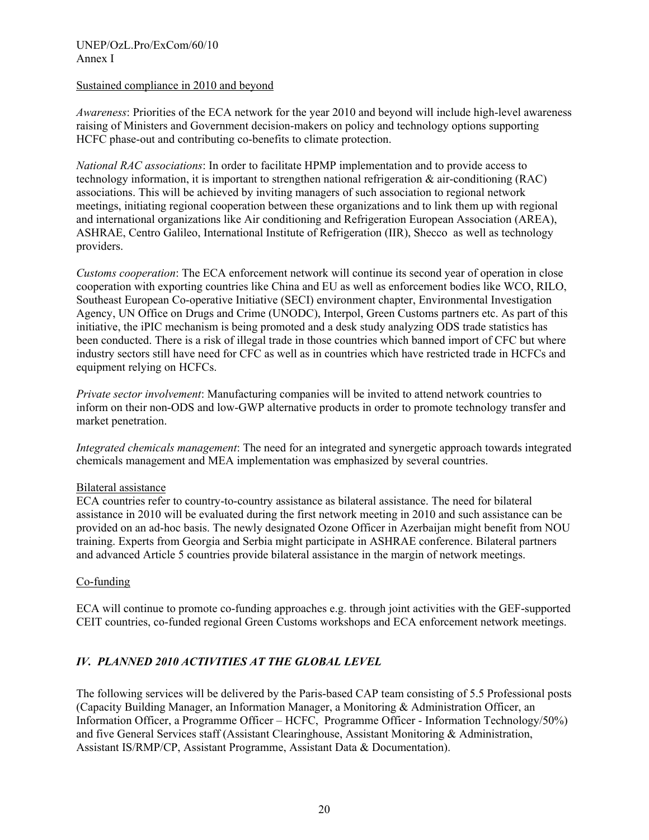## Sustained compliance in 2010 and beyond

*Awareness*: Priorities of the ECA network for the year 2010 and beyond will include high-level awareness raising of Ministers and Government decision-makers on policy and technology options supporting HCFC phase-out and contributing co-benefits to climate protection.

*National RAC associations*: In order to facilitate HPMP implementation and to provide access to technology information, it is important to strengthen national refrigeration  $\&$  air-conditioning (RAC) associations. This will be achieved by inviting managers of such association to regional network meetings, initiating regional cooperation between these organizations and to link them up with regional and international organizations like Air conditioning and Refrigeration European Association (AREA), ASHRAE, Centro Galileo, International Institute of Refrigeration (IIR), Shecco as well as technology providers.

*Customs cooperation*: The ECA enforcement network will continue its second year of operation in close cooperation with exporting countries like China and EU as well as enforcement bodies like WCO, RILO, Southeast European Co-operative Initiative (SECI) environment chapter, Environmental Investigation Agency, UN Office on Drugs and Crime (UNODC), Interpol, Green Customs partners etc. As part of this initiative, the iPIC mechanism is being promoted and a desk study analyzing ODS trade statistics has been conducted. There is a risk of illegal trade in those countries which banned import of CFC but where industry sectors still have need for CFC as well as in countries which have restricted trade in HCFCs and equipment relying on HCFCs.

*Private sector involvement*: Manufacturing companies will be invited to attend network countries to inform on their non-ODS and low-GWP alternative products in order to promote technology transfer and market penetration.

*Integrated chemicals management*: The need for an integrated and synergetic approach towards integrated chemicals management and MEA implementation was emphasized by several countries.

## Bilateral assistance

ECA countries refer to country-to-country assistance as bilateral assistance. The need for bilateral assistance in 2010 will be evaluated during the first network meeting in 2010 and such assistance can be provided on an ad-hoc basis. The newly designated Ozone Officer in Azerbaijan might benefit from NOU training. Experts from Georgia and Serbia might participate in ASHRAE conference. Bilateral partners and advanced Article 5 countries provide bilateral assistance in the margin of network meetings.

## Co-funding

ECA will continue to promote co-funding approaches e.g. through joint activities with the GEF-supported CEIT countries, co-funded regional Green Customs workshops and ECA enforcement network meetings.

## *IV. PLANNED 2010 ACTIVITIES AT THE GLOBAL LEVEL*

The following services will be delivered by the Paris-based CAP team consisting of 5.5 Professional posts (Capacity Building Manager, an Information Manager, a Monitoring & Administration Officer, an Information Officer, a Programme Officer – HCFC, Programme Officer - Information Technology/50%) and five General Services staff (Assistant Clearinghouse, Assistant Monitoring & Administration, Assistant IS/RMP/CP, Assistant Programme, Assistant Data & Documentation).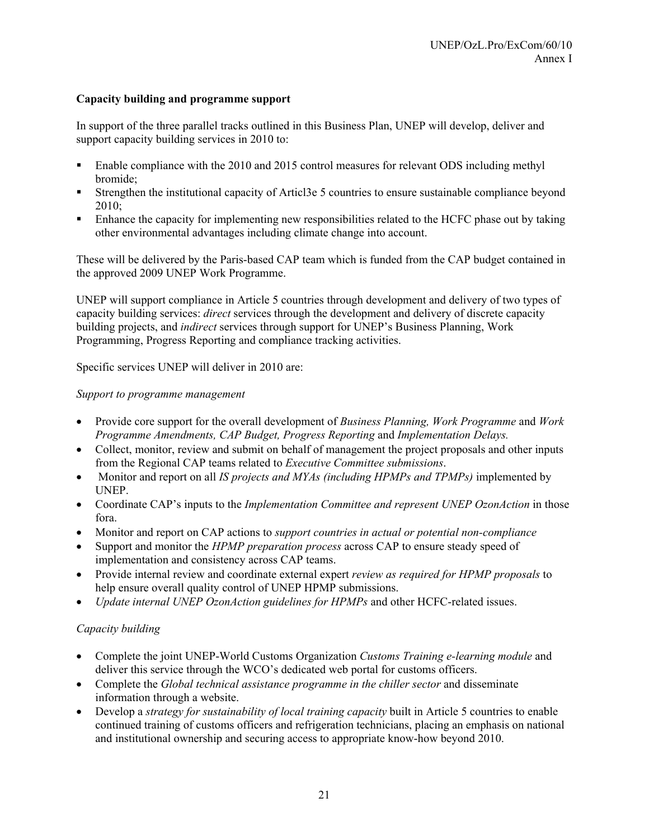## **Capacity building and programme support**

In support of the three parallel tracks outlined in this Business Plan, UNEP will develop, deliver and support capacity building services in 2010 to:

- Enable compliance with the 2010 and 2015 control measures for relevant ODS including methyl bromide;
- Strengthen the institutional capacity of Articl3e 5 countries to ensure sustainable compliance beyond 2010;
- Enhance the capacity for implementing new responsibilities related to the HCFC phase out by taking other environmental advantages including climate change into account.

These will be delivered by the Paris-based CAP team which is funded from the CAP budget contained in the approved 2009 UNEP Work Programme.

UNEP will support compliance in Article 5 countries through development and delivery of two types of capacity building services: *direct* services through the development and delivery of discrete capacity building projects, and *indirect* services through support for UNEP's Business Planning, Work Programming, Progress Reporting and compliance tracking activities.

Specific services UNEP will deliver in 2010 are:

## *Support to programme management*

- Provide core support for the overall development of *Business Planning, Work Programme* and *Work Programme Amendments, CAP Budget, Progress Reporting* and *Implementation Delays.*
- Collect, monitor, review and submit on behalf of management the project proposals and other inputs from the Regional CAP teams related to *Executive Committee submissions*.
- Monitor and report on all *IS projects and MYAs (including HPMPs and TPMPs)* implemented by UNEP.
- Coordinate CAP's inputs to the *Implementation Committee and represent UNEP OzonAction* in those fora.
- Monitor and report on CAP actions to *support countries in actual or potential non-compliance*
- Support and monitor the *HPMP preparation process* across CAP to ensure steady speed of implementation and consistency across CAP teams.
- Provide internal review and coordinate external expert *review as required for HPMP proposals* to help ensure overall quality control of UNEP HPMP submissions.
- *Update internal UNEP OzonAction guidelines for HPMPs* and other HCFC-related issues.

## *Capacity building*

- Complete the joint UNEP-World Customs Organization *Customs Training e-learning module* and deliver this service through the WCO's dedicated web portal for customs officers.
- Complete the *Global technical assistance programme in the chiller sector* and disseminate information through a website.
- Develop a *strategy for sustainability of local training capacity* built in Article 5 countries to enable continued training of customs officers and refrigeration technicians, placing an emphasis on national and institutional ownership and securing access to appropriate know-how beyond 2010.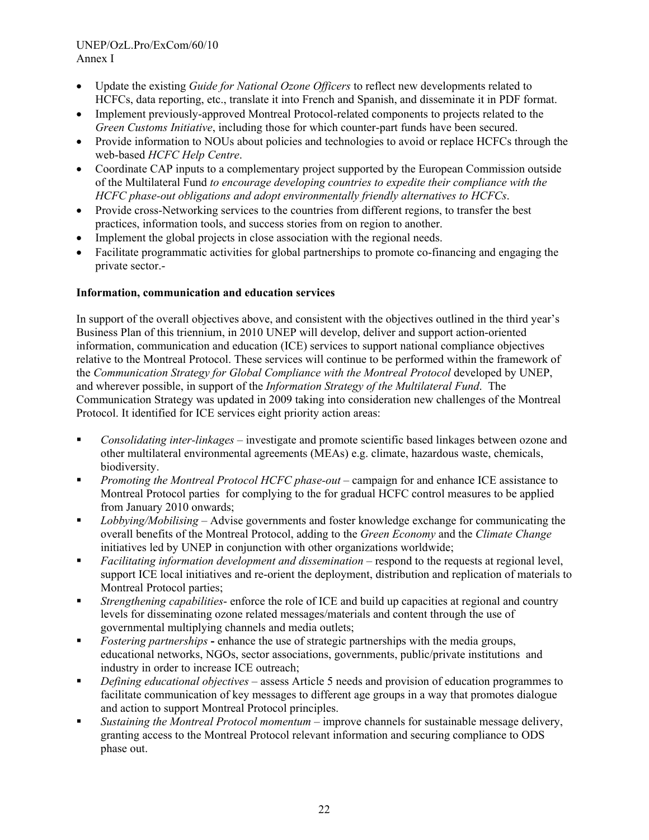- Update the existing *Guide for National Ozone Officers* to reflect new developments related to HCFCs, data reporting, etc., translate it into French and Spanish, and disseminate it in PDF format.
- Implement previously-approved Montreal Protocol-related components to projects related to the *Green Customs Initiative*, including those for which counter-part funds have been secured.
- Provide information to NOUs about policies and technologies to avoid or replace HCFCs through the web-based *HCFC Help Centre*.
- Coordinate CAP inputs to a complementary project supported by the European Commission outside of the Multilateral Fund *to encourage developing countries to expedite their compliance with the HCFC phase-out obligations and adopt environmentally friendly alternatives to HCFCs*.
- Provide cross-Networking services to the countries from different regions, to transfer the best practices, information tools, and success stories from on region to another.
- Implement the global projects in close association with the regional needs.
- Facilitate programmatic activities for global partnerships to promote co-financing and engaging the private sector.-

## **Information, communication and education services**

In support of the overall objectives above, and consistent with the objectives outlined in the third year's Business Plan of this triennium, in 2010 UNEP will develop, deliver and support action-oriented information, communication and education (ICE) services to support national compliance objectives relative to the Montreal Protocol. These services will continue to be performed within the framework of the *Communication Strategy for Global Compliance with the Montreal Protocol* developed by UNEP, and wherever possible, in support of the *Information Strategy of the Multilateral Fund*. The Communication Strategy was updated in 2009 taking into consideration new challenges of the Montreal Protocol. It identified for ICE services eight priority action areas:

- *Consolidating inter-linkages* investigate and promote scientific based linkages between ozone and other multilateral environmental agreements (MEAs) e.g. climate, hazardous waste, chemicals, biodiversity.
- *Promoting the Montreal Protocol HCFC phase-out* campaign for and enhance ICE assistance to Montreal Protocol parties for complying to the for gradual HCFC control measures to be applied from January 2010 onwards;
- *Lobbying/Mobilising* Advise governments and foster knowledge exchange for communicating the overall benefits of the Montreal Protocol, adding to the *Green Economy* and the *Climate Change*  initiatives led by UNEP in conjunction with other organizations worldwide;
- *Facilitating information development and dissemination* respond to the requests at regional level, support ICE local initiatives and re-orient the deployment, distribution and replication of materials to Montreal Protocol parties;
- *Strengthening capabilities* enforce the role of ICE and build up capacities at regional and country levels for disseminating ozone related messages/materials and content through the use of governmental multiplying channels and media outlets;
- *Fostering partnerships*enhance the use of strategic partnerships with the media groups, educational networks, NGOs, sector associations, governments, public/private institutions and industry in order to increase ICE outreach;
- *Defining educational objectives* assess Article 5 needs and provision of education programmes to facilitate communication of key messages to different age groups in a way that promotes dialogue and action to support Montreal Protocol principles.
- *Sustaining the Montreal Protocol momentum* improve channels for sustainable message delivery, granting access to the Montreal Protocol relevant information and securing compliance to ODS phase out.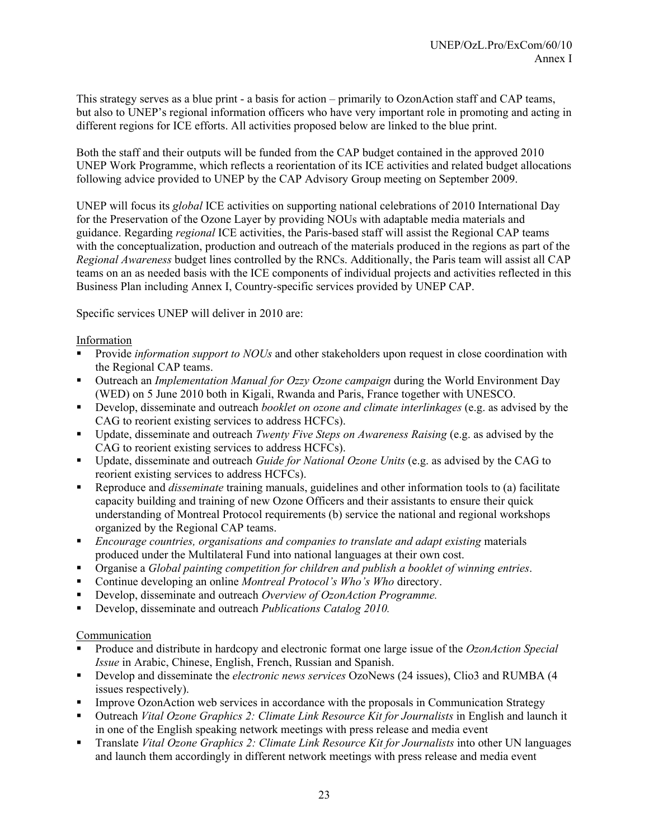This strategy serves as a blue print - a basis for action – primarily to OzonAction staff and CAP teams, but also to UNEP's regional information officers who have very important role in promoting and acting in different regions for ICE efforts. All activities proposed below are linked to the blue print.

Both the staff and their outputs will be funded from the CAP budget contained in the approved 2010 UNEP Work Programme, which reflects a reorientation of its ICE activities and related budget allocations following advice provided to UNEP by the CAP Advisory Group meeting on September 2009.

UNEP will focus its *global* ICE activities on supporting national celebrations of 2010 International Day for the Preservation of the Ozone Layer by providing NOUs with adaptable media materials and guidance. Regarding *regional* ICE activities, the Paris-based staff will assist the Regional CAP teams with the conceptualization, production and outreach of the materials produced in the regions as part of the *Regional Awareness* budget lines controlled by the RNCs. Additionally, the Paris team will assist all CAP teams on an as needed basis with the ICE components of individual projects and activities reflected in this Business Plan including Annex I, Country-specific services provided by UNEP CAP.

Specific services UNEP will deliver in 2010 are:

## Information

- Provide *information support to NOUs* and other stakeholders upon request in close coordination with the Regional CAP teams.
- Outreach an *Implementation Manual for Ozzy Ozone campaign* during the World Environment Day (WED) on 5 June 2010 both in Kigali, Rwanda and Paris, France together with UNESCO.
- Develop, disseminate and outreach *booklet on ozone and climate interlinkages* (e.g. as advised by the CAG to reorient existing services to address HCFCs).
- Update, disseminate and outreach *Twenty Five Steps on Awareness Raising* (e.g. as advised by the CAG to reorient existing services to address HCFCs).
- Update, disseminate and outreach *Guide for National Ozone Units* (e.g. as advised by the CAG to reorient existing services to address HCFCs).
- Reproduce and *disseminate* training manuals, guidelines and other information tools to (a) facilitate capacity building and training of new Ozone Officers and their assistants to ensure their quick understanding of Montreal Protocol requirements (b) service the national and regional workshops organized by the Regional CAP teams.
- *Encourage countries, organisations and companies to translate and adapt existing* materials produced under the Multilateral Fund into national languages at their own cost.
- Organise a *Global painting competition for children and publish a booklet of winning entries*.
- Continue developing an online *Montreal Protocol's Who's Who* directory.
- Develop, disseminate and outreach *Overview of OzonAction Programme.*
- Develop, disseminate and outreach *Publications Catalog 2010.*

## Communication

- Produce and distribute in hardcopy and electronic format one large issue of the *OzonAction Special Issue* in Arabic, Chinese, English, French, Russian and Spanish.
- Develop and disseminate the *electronic news services* OzoNews (24 issues), Clio3 and RUMBA (4 issues respectively).
- **Improve OzonAction web services in accordance with the proposals in Communication Strategy**
- Outreach *Vital Ozone Graphics 2: Climate Link Resource Kit for Journalists* in English and launch it in one of the English speaking network meetings with press release and media event
- Translate *Vital Ozone Graphics 2: Climate Link Resource Kit for Journalists* into other UN languages and launch them accordingly in different network meetings with press release and media event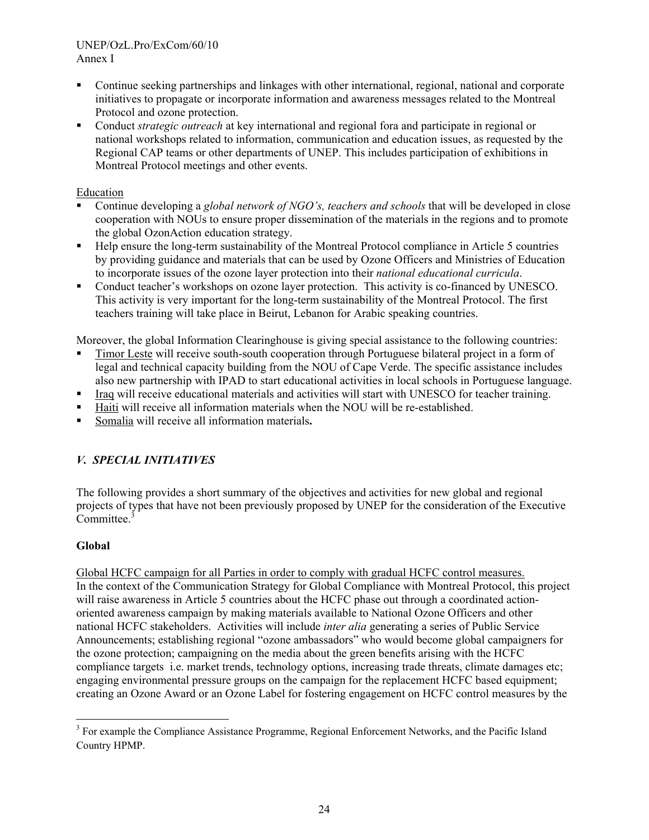- Continue seeking partnerships and linkages with other international, regional, national and corporate initiatives to propagate or incorporate information and awareness messages related to the Montreal Protocol and ozone protection.
- Conduct *strategic outreach* at key international and regional fora and participate in regional or national workshops related to information, communication and education issues, as requested by the Regional CAP teams or other departments of UNEP. This includes participation of exhibitions in Montreal Protocol meetings and other events.

## Education

- Continue developing a *global network of NGO's, teachers and schools* that will be developed in close cooperation with NOUs to ensure proper dissemination of the materials in the regions and to promote the global OzonAction education strategy.
- Help ensure the long-term sustainability of the Montreal Protocol compliance in Article 5 countries by providing guidance and materials that can be used by Ozone Officers and Ministries of Education to incorporate issues of the ozone layer protection into their *national educational curricula*.
- Conduct teacher's workshops on ozone layer protection. This activity is co-financed by UNESCO. This activity is very important for the long-term sustainability of the Montreal Protocol. The first teachers training will take place in Beirut, Lebanon for Arabic speaking countries.

Moreover, the global Information Clearinghouse is giving special assistance to the following countries:

- Timor Leste will receive south-south cooperation through Portuguese bilateral project in a form of legal and technical capacity building from the NOU of Cape Verde. The specific assistance includes also new partnership with IPAD to start educational activities in local schools in Portuguese language.
- Iraq will receive educational materials and activities will start with UNESCO for teacher training.
- Haiti will receive all information materials when the NOU will be re-established.
- Somalia will receive all information materials**.**

## *V. SPECIAL INITIATIVES*

The following provides a short summary of the objectives and activities for new global and regional projects of types that have not been previously proposed by UNEP for the consideration of the Executive Committee.<sup>3</sup>

## **Global**

Global HCFC campaign for all Parties in order to comply with gradual HCFC control measures. In the context of the Communication Strategy for Global Compliance with Montreal Protocol, this project will raise awareness in Article 5 countries about the HCFC phase out through a coordinated actionoriented awareness campaign by making materials available to National Ozone Officers and other national HCFC stakeholders. Activities will include *inter alia* generating a series of Public Service Announcements; establishing regional "ozone ambassadors" who would become global campaigners for the ozone protection; campaigning on the media about the green benefits arising with the HCFC compliance targets i.e. market trends, technology options, increasing trade threats, climate damages etc; engaging environmental pressure groups on the campaign for the replacement HCFC based equipment; creating an Ozone Award or an Ozone Label for fostering engagement on HCFC control measures by the

<sup>&</sup>lt;sup>3</sup> For example the Compliance Assistance Programme, Regional Enforcement Networks, and the Pacific Island Country HPMP.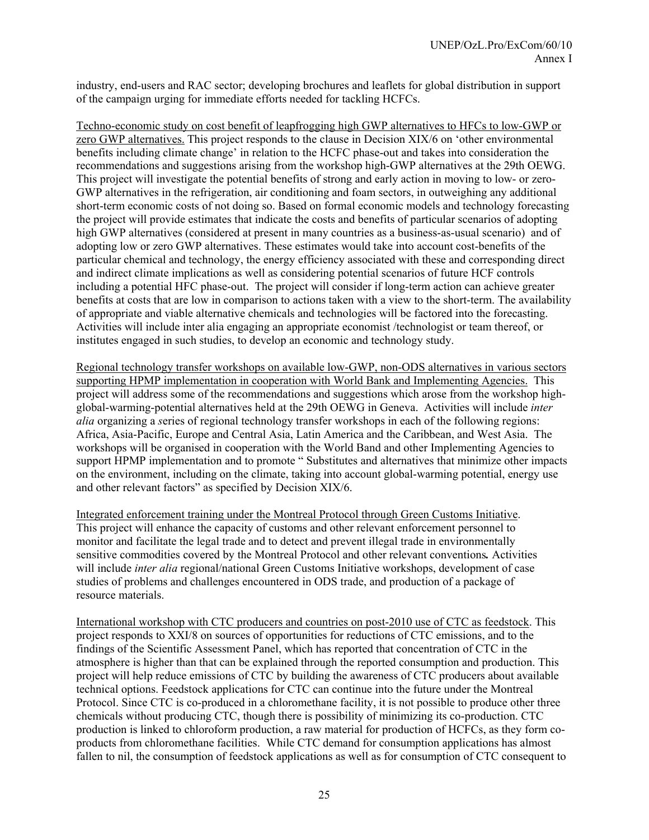industry, end-users and RAC sector; developing brochures and leaflets for global distribution in support of the campaign urging for immediate efforts needed for tackling HCFCs.

Techno-economic study on cost benefit of leapfrogging high GWP alternatives to HFCs to low-GWP or zero GWP alternatives. This project responds to the clause in Decision XIX/6 on 'other environmental benefits including climate change' in relation to the HCFC phase-out and takes into consideration the recommendations and suggestions arising from the workshop high-GWP alternatives at the 29th OEWG. This project will investigate the potential benefits of strong and early action in moving to low- or zero-GWP alternatives in the refrigeration, air conditioning and foam sectors, in outweighing any additional short-term economic costs of not doing so. Based on formal economic models and technology forecasting the project will provide estimates that indicate the costs and benefits of particular scenarios of adopting high GWP alternatives (considered at present in many countries as a business-as-usual scenario) and of adopting low or zero GWP alternatives. These estimates would take into account cost-benefits of the particular chemical and technology, the energy efficiency associated with these and corresponding direct and indirect climate implications as well as considering potential scenarios of future HCF controls including a potential HFC phase-out. The project will consider if long-term action can achieve greater benefits at costs that are low in comparison to actions taken with a view to the short-term. The availability of appropriate and viable alternative chemicals and technologies will be factored into the forecasting. Activities will include inter alia engaging an appropriate economist /technologist or team thereof, or institutes engaged in such studies, to develop an economic and technology study.

Regional technology transfer workshops on available low-GWP, non-ODS alternatives in various sectors supporting HPMP implementation in cooperation with World Bank and Implementing Agencies.This project will address some of the recommendations and suggestions which arose from the workshop highglobal-warming-potential alternatives held at the 29th OEWG in Geneva. Activities will include *inter alia* organizing a *s*eries of regional technology transfer workshops in each of the following regions: Africa, Asia-Pacific, Europe and Central Asia, Latin America and the Caribbean, and West Asia. The workshops will be organised in cooperation with the World Band and other Implementing Agencies to support HPMP implementation and to promote " Substitutes and alternatives that minimize other impacts on the environment, including on the climate, taking into account global-warming potential, energy use and other relevant factors" as specified by Decision XIX/6.

Integrated enforcement training under the Montreal Protocol through Green Customs Initiative. This project will enhance the capacity of customs and other relevant enforcement personnel to monitor and facilitate the legal trade and to detect and prevent illegal trade in environmentally sensitive commodities covered by the Montreal Protocol and other relevant conventions*.* Activities will include *inter alia* regional/national Green Customs Initiative workshops, development of case studies of problems and challenges encountered in ODS trade, and production of a package of resource materials.

International workshop with CTC producers and countries on post-2010 use of CTC as feedstock. This project responds to XXI/8 on sources of opportunities for reductions of CTC emissions, and to the findings of the Scientific Assessment Panel, which has reported that concentration of CTC in the atmosphere is higher than that can be explained through the reported consumption and production. This project will help reduce emissions of CTC by building the awareness of CTC producers about available technical options. Feedstock applications for CTC can continue into the future under the Montreal Protocol. Since CTC is co-produced in a chloromethane facility, it is not possible to produce other three chemicals without producing CTC, though there is possibility of minimizing its co-production. CTC production is linked to chloroform production, a raw material for production of HCFCs, as they form coproducts from chloromethane facilities. While CTC demand for consumption applications has almost fallen to nil, the consumption of feedstock applications as well as for consumption of CTC consequent to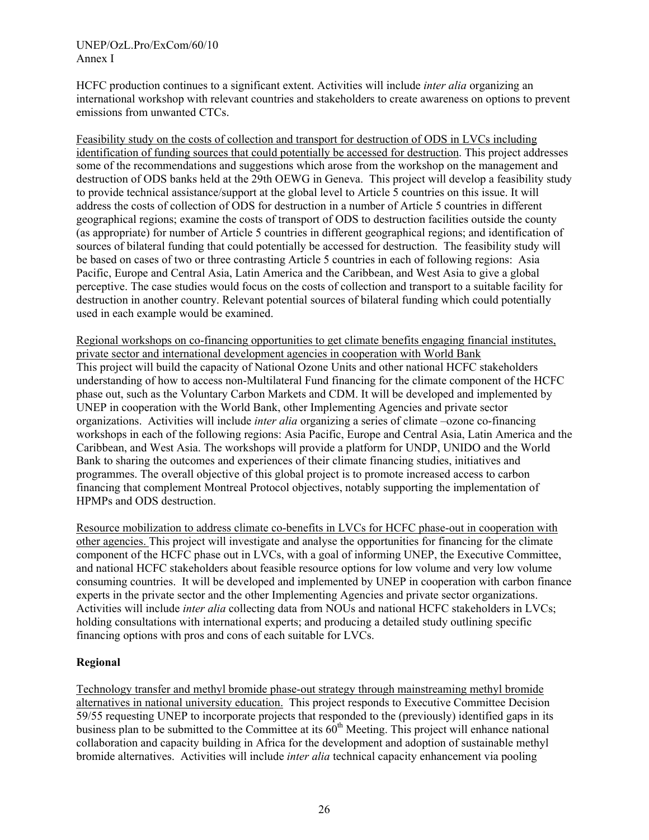HCFC production continues to a significant extent. Activities will include *inter alia* organizing an international workshop with relevant countries and stakeholders to create awareness on options to prevent emissions from unwanted CTCs.

Feasibility study on the costs of collection and transport for destruction of ODS in LVCs including identification of funding sources that could potentially be accessed for destruction. This project addresses some of the recommendations and suggestions which arose from the workshop on the management and destruction of ODS banks held at the 29th OEWG in Geneva. This project will develop a feasibility study to provide technical assistance/support at the global level to Article 5 countries on this issue. It will address the costs of collection of ODS for destruction in a number of Article 5 countries in different geographical regions; examine the costs of transport of ODS to destruction facilities outside the county (as appropriate) for number of Article 5 countries in different geographical regions; and identification of sources of bilateral funding that could potentially be accessed for destruction. The feasibility study will be based on cases of two or three contrasting Article 5 countries in each of following regions: Asia Pacific, Europe and Central Asia, Latin America and the Caribbean, and West Asia to give a global perceptive. The case studies would focus on the costs of collection and transport to a suitable facility for destruction in another country. Relevant potential sources of bilateral funding which could potentially used in each example would be examined.

Regional workshops on co-financing opportunities to get climate benefits engaging financial institutes, private sector and international development agencies in cooperation with World Bank This project will build the capacity of National Ozone Units and other national HCFC stakeholders understanding of how to access non-Multilateral Fund financing for the climate component of the HCFC phase out, such as the Voluntary Carbon Markets and CDM. It will be developed and implemented by UNEP in cooperation with the World Bank, other Implementing Agencies and private sector organizations. Activities will include *inter alia* organizing a series of climate –ozone co-financing workshops in each of the following regions: Asia Pacific, Europe and Central Asia, Latin America and the Caribbean, and West Asia. The workshops will provide a platform for UNDP, UNIDO and the World Bank to sharing the outcomes and experiences of their climate financing studies, initiatives and programmes. The overall objective of this global project is to promote increased access to carbon financing that complement Montreal Protocol objectives, notably supporting the implementation of HPMPs and ODS destruction.

Resource mobilization to address climate co-benefits in LVCs for HCFC phase-out in cooperation with other agencies. This project will investigate and analyse the opportunities for financing for the climate component of the HCFC phase out in LVCs, with a goal of informing UNEP, the Executive Committee, and national HCFC stakeholders about feasible resource options for low volume and very low volume consuming countries. It will be developed and implemented by UNEP in cooperation with carbon finance experts in the private sector and the other Implementing Agencies and private sector organizations. Activities will include *inter alia* collecting data from NOUs and national HCFC stakeholders in LVCs; holding consultations with international experts; and producing a detailed study outlining specific financing options with pros and cons of each suitable for LVCs.

## **Regional**

Technology transfer and methyl bromide phase-out strategy through mainstreaming methyl bromide alternatives in national university education. This project responds to Executive Committee Decision 59/55 requesting UNEP to incorporate projects that responded to the (previously) identified gaps in its business plan to be submitted to the Committee at its  $60<sup>th</sup>$  Meeting. This project will enhance national collaboration and capacity building in Africa for the development and adoption of sustainable methyl bromide alternatives. Activities will include *inter alia* technical capacity enhancement via pooling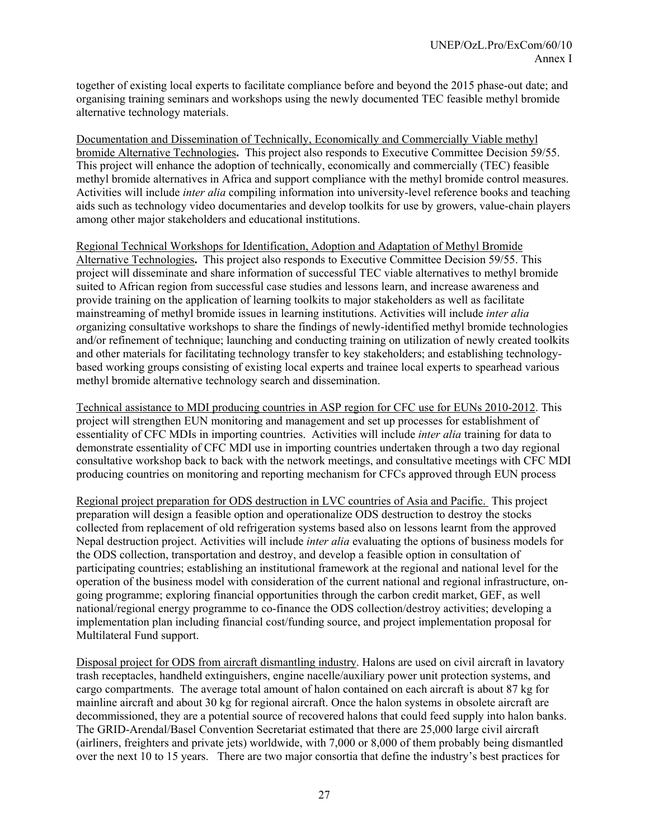together of existing local experts to facilitate compliance before and beyond the 2015 phase-out date; and organising training seminars and workshops using the newly documented TEC feasible methyl bromide alternative technology materials.

Documentation and Dissemination of Technically, Economically and Commercially Viable methyl bromide Alternative Technologies**.** This project also responds to Executive Committee Decision 59/55. This project will enhance the adoption of technically, economically and commercially (TEC) feasible methyl bromide alternatives in Africa and support compliance with the methyl bromide control measures. Activities will include *inter alia* compiling information into university-level reference books and teaching aids such as technology video documentaries and develop toolkits for use by growers, value-chain players among other major stakeholders and educational institutions.

Regional Technical Workshops for Identification, Adoption and Adaptation of Methyl Bromide Alternative Technologies**.** This project also responds to Executive Committee Decision 59/55. This project will disseminate and share information of successful TEC viable alternatives to methyl bromide suited to African region from successful case studies and lessons learn, and increase awareness and provide training on the application of learning toolkits to major stakeholders as well as facilitate mainstreaming of methyl bromide issues in learning institutions. Activities will include *inter alia o*rganizing consultative workshops to share the findings of newly-identified methyl bromide technologies and/or refinement of technique; launching and conducting training on utilization of newly created toolkits and other materials for facilitating technology transfer to key stakeholders; and establishing technologybased working groups consisting of existing local experts and trainee local experts to spearhead various methyl bromide alternative technology search and dissemination.

Technical assistance to MDI producing countries in ASP region for CFC use for EUNs 2010-2012. This project will strengthen EUN monitoring and management and set up processes for establishment of essentiality of CFC MDIs in importing countries. Activities will include *inter alia* training for data to demonstrate essentiality of CFC MDI use in importing countries undertaken through a two day regional consultative workshop back to back with the network meetings, and consultative meetings with CFC MDI producing countries on monitoring and reporting mechanism for CFCs approved through EUN process

Regional project preparation for ODS destruction in LVC countries of Asia and Pacific. This project preparation will design a feasible option and operationalize ODS destruction to destroy the stocks collected from replacement of old refrigeration systems based also on lessons learnt from the approved Nepal destruction project. Activities will include *inter alia* evaluating the options of business models for the ODS collection, transportation and destroy, and develop a feasible option in consultation of participating countries; establishing an institutional framework at the regional and national level for the operation of the business model with consideration of the current national and regional infrastructure, ongoing programme; exploring financial opportunities through the carbon credit market, GEF, as well national/regional energy programme to co-finance the ODS collection/destroy activities; developing a implementation plan including financial cost/funding source, and project implementation proposal for Multilateral Fund support.

Disposal project for ODS from aircraft dismantling industry. Halons are used on civil aircraft in lavatory trash receptacles, handheld extinguishers, engine nacelle/auxiliary power unit protection systems, and cargo compartments. The average total amount of halon contained on each aircraft is about 87 kg for mainline aircraft and about 30 kg for regional aircraft. Once the halon systems in obsolete aircraft are decommissioned, they are a potential source of recovered halons that could feed supply into halon banks. The GRID-Arendal/Basel Convention Secretariat estimated that there are 25,000 large civil aircraft (airliners, freighters and private jets) worldwide, with 7,000 or 8,000 of them probably being dismantled over the next 10 to 15 years. There are two major consortia that define the industry's best practices for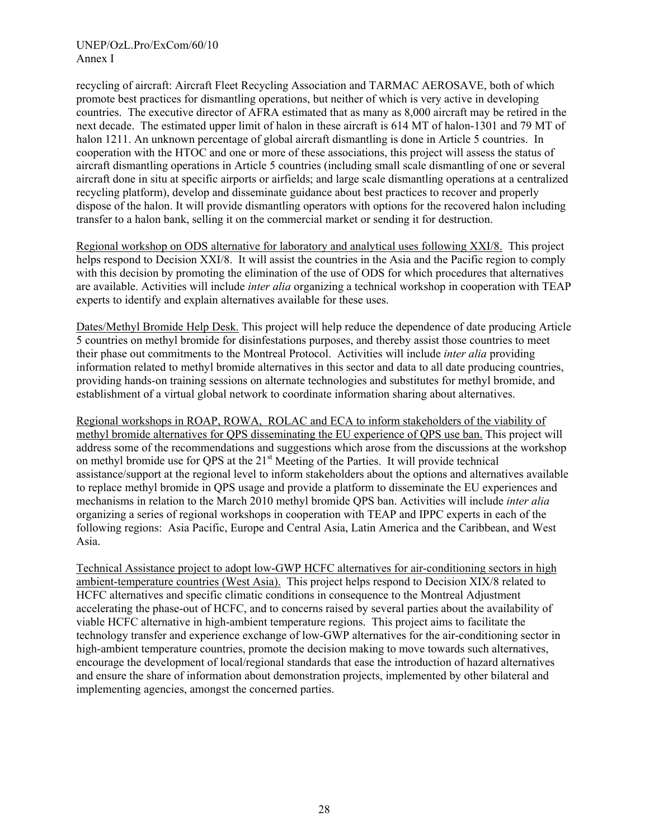recycling of aircraft: Aircraft Fleet Recycling Association and TARMAC AEROSAVE, both of which promote best practices for dismantling operations, but neither of which is very active in developing countries. The executive director of AFRA estimated that as many as 8,000 aircraft may be retired in the next decade. The estimated upper limit of halon in these aircraft is 614 MT of halon-1301 and 79 MT of halon 1211. An unknown percentage of global aircraft dismantling is done in Article 5 countries. In cooperation with the HTOC and one or more of these associations, this project will assess the status of aircraft dismantling operations in Article 5 countries (including small scale dismantling of one or several aircraft done in situ at specific airports or airfields; and large scale dismantling operations at a centralized recycling platform), develop and disseminate guidance about best practices to recover and properly dispose of the halon. It will provide dismantling operators with options for the recovered halon including transfer to a halon bank, selling it on the commercial market or sending it for destruction.

Regional workshop on ODS alternative for laboratory and analytical uses following XXI/8. This project helps respond to Decision XXI/8. It will assist the countries in the Asia and the Pacific region to comply with this decision by promoting the elimination of the use of ODS for which procedures that alternatives are available. Activities will include *inter alia* organizing a technical workshop in cooperation with TEAP experts to identify and explain alternatives available for these uses.

Dates/Methyl Bromide Help Desk. This project will help reduce the dependence of date producing Article 5 countries on methyl bromide for disinfestations purposes, and thereby assist those countries to meet their phase out commitments to the Montreal Protocol. Activities will include *inter alia* providing information related to methyl bromide alternatives in this sector and data to all date producing countries, providing hands-on training sessions on alternate technologies and substitutes for methyl bromide, and establishment of a virtual global network to coordinate information sharing about alternatives.

Regional workshops in ROAP, ROWA, ROLAC and ECA to inform stakeholders of the viability of methyl bromide alternatives for QPS disseminating the EU experience of QPS use ban. This project will address some of the recommendations and suggestions which arose from the discussions at the workshop on methyl bromide use for QPS at the 21<sup>st</sup> Meeting of the Parties. It will provide technical assistance/support at the regional level to inform stakeholders about the options and alternatives available to replace methyl bromide in QPS usage and provide a platform to disseminate the EU experiences and mechanisms in relation to the March 2010 methyl bromide QPS ban. Activities will include *inter alia*  organizing a series of regional workshops in cooperation with TEAP and IPPC experts in each of the following regions: Asia Pacific, Europe and Central Asia, Latin America and the Caribbean, and West Asia.

Technical Assistance project to adopt low-GWP HCFC alternatives for air-conditioning sectors in high ambient-temperature countries (West Asia). This project helps respond to Decision XIX/8 related to HCFC alternatives and specific climatic conditions in consequence to the Montreal Adjustment accelerating the phase-out of HCFC, and to concerns raised by several parties about the availability of viable HCFC alternative in high-ambient temperature regions. This project aims to facilitate the technology transfer and experience exchange of low-GWP alternatives for the air-conditioning sector in high-ambient temperature countries, promote the decision making to move towards such alternatives, encourage the development of local/regional standards that ease the introduction of hazard alternatives and ensure the share of information about demonstration projects, implemented by other bilateral and implementing agencies, amongst the concerned parties.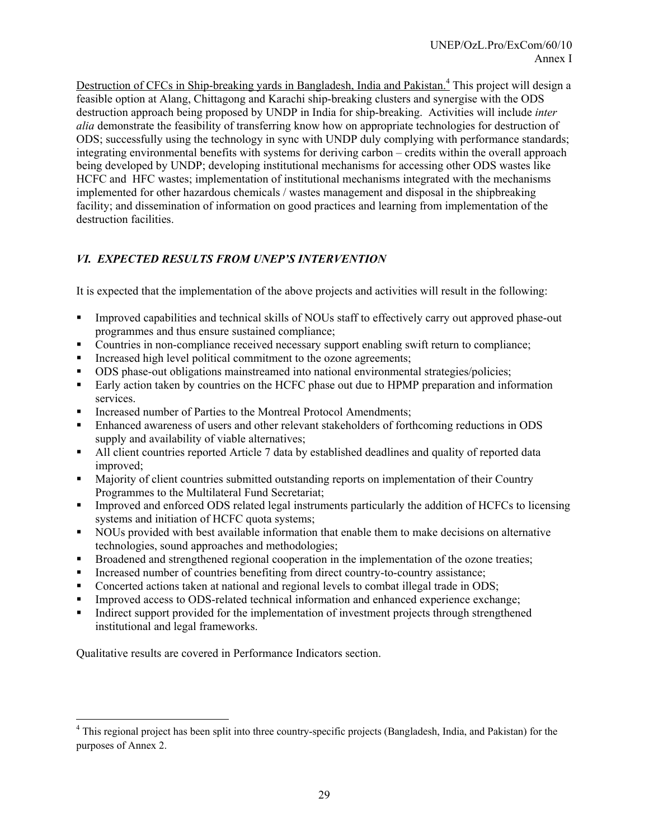Destruction of CFCs in Ship-breaking yards in Bangladesh, India and Pakistan.<sup>4</sup> This project will design a feasible option at Alang, Chittagong and Karachi ship-breaking clusters and synergise with the ODS destruction approach being proposed by UNDP in India for ship-breaking. Activities will include *inter alia* demonstrate the feasibility of transferring know how on appropriate technologies for destruction of ODS; successfully using the technology in sync with UNDP duly complying with performance standards; integrating environmental benefits with systems for deriving carbon – credits within the overall approach being developed by UNDP; developing institutional mechanisms for accessing other ODS wastes like HCFC and HFC wastes; implementation of institutional mechanisms integrated with the mechanisms implemented for other hazardous chemicals / wastes management and disposal in the shipbreaking facility; and dissemination of information on good practices and learning from implementation of the destruction facilities.

# *VI. EXPECTED RESULTS FROM UNEP'S INTERVENTION*

It is expected that the implementation of the above projects and activities will result in the following:

- Improved capabilities and technical skills of NOUs staff to effectively carry out approved phase-out programmes and thus ensure sustained compliance;
- Countries in non-compliance received necessary support enabling swift return to compliance;
- Increased high level political commitment to the ozone agreements;
- ODS phase-out obligations mainstreamed into national environmental strategies/policies;
- Early action taken by countries on the HCFC phase out due to HPMP preparation and information services.
- Increased number of Parties to the Montreal Protocol Amendments;
- Enhanced awareness of users and other relevant stakeholders of forthcoming reductions in ODS supply and availability of viable alternatives;
- All client countries reported Article 7 data by established deadlines and quality of reported data improved;
- Majority of client countries submitted outstanding reports on implementation of their Country Programmes to the Multilateral Fund Secretariat;
- Improved and enforced ODS related legal instruments particularly the addition of HCFCs to licensing systems and initiation of HCFC quota systems;
- NOUs provided with best available information that enable them to make decisions on alternative technologies, sound approaches and methodologies;
- Broadened and strengthened regional cooperation in the implementation of the ozone treaties;
- Increased number of countries benefiting from direct country-to-country assistance;
- Concerted actions taken at national and regional levels to combat illegal trade in ODS;
- Improved access to ODS-related technical information and enhanced experience exchange;
- Indirect support provided for the implementation of investment projects through strengthened institutional and legal frameworks.

Qualitative results are covered in Performance Indicators section.

<sup>&</sup>lt;sup>4</sup> This regional project has been split into three country-specific projects (Bangladesh, India, and Pakistan) for the purposes of Annex 2.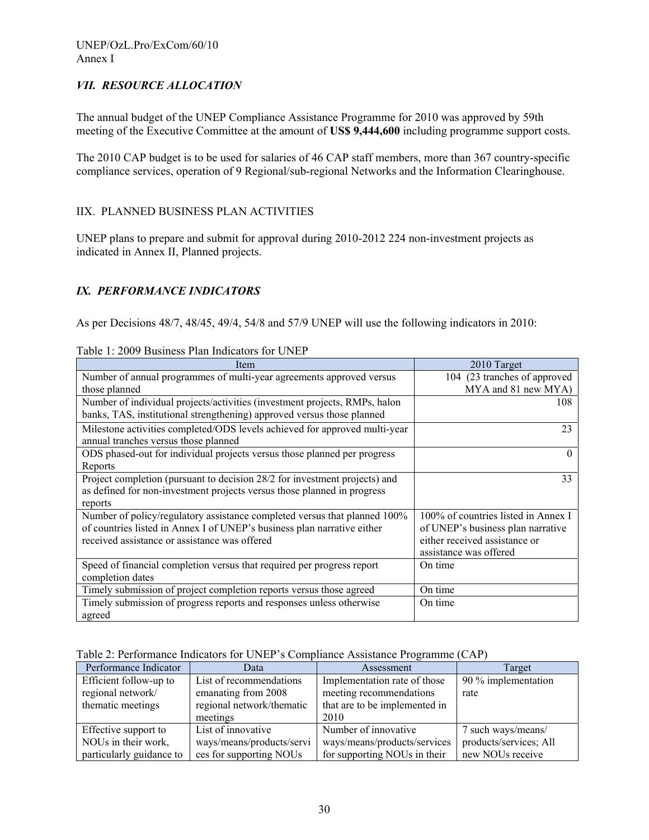## *VII. RESOURCE ALLOCATION*

The annual budget of the UNEP Compliance Assistance Programme for 2010 was approved by 59th meeting of the Executive Committee at the amount of **US\$ 9,444,600** including programme support costs.

The 2010 CAP budget is to be used for salaries of 46 CAP staff members, more than 367 country-specific compliance services, operation of 9 Regional/sub-regional Networks and the Information Clearinghouse.

## IIX. PLANNED BUSINESS PLAN ACTIVITIES

UNEP plans to prepare and submit for approval during 2010-2012 224 non-investment projects as indicated in Annex II, Planned projects.

## *IX. PERFORMANCE INDICATORS*

As per Decisions 48/7, 48/45, 49/4, 54/8 and 57/9 UNEP will use the following indicators in 2010:

| Item                                                                                                                                                                                                  | 2010 Target                                                                                                                         |
|-------------------------------------------------------------------------------------------------------------------------------------------------------------------------------------------------------|-------------------------------------------------------------------------------------------------------------------------------------|
| Number of annual programmes of multi-year agreements approved versus                                                                                                                                  | 104 (23 tranches of approved                                                                                                        |
| those planned                                                                                                                                                                                         | MYA and 81 new MYA)                                                                                                                 |
| Number of individual projects/activities (investment projects, RMPs, halon<br>banks, TAS, institutional strengthening) approved versus those planned                                                  | 108                                                                                                                                 |
| Milestone activities completed/ODS levels achieved for approved multi-year<br>annual tranches versus those planned                                                                                    | 23                                                                                                                                  |
| ODS phased-out for individual projects versus those planned per progress<br>Reports                                                                                                                   |                                                                                                                                     |
| Project completion (pursuant to decision 28/2 for investment projects) and<br>as defined for non-investment projects versus those planned in progress<br>reports                                      | 33                                                                                                                                  |
| Number of policy/regulatory assistance completed versus that planned 100%<br>of countries listed in Annex I of UNEP's business plan narrative either<br>received assistance or assistance was offered | 100% of countries listed in Annex I<br>of UNEP's business plan narrative<br>either received assistance or<br>assistance was offered |
| Speed of financial completion versus that required per progress report<br>completion dates                                                                                                            | On time                                                                                                                             |
| Timely submission of project completion reports versus those agreed                                                                                                                                   | On time                                                                                                                             |
| Timely submission of progress reports and responses unless otherwise<br>agreed                                                                                                                        | On time                                                                                                                             |

#### Table 1: 2009 Business Plan Indicators for UNEP

#### Table 2: Performance Indicators for UNEP's Compliance Assistance Programme (CAP)

| Performance Indicator    | Data                      | Assessment                    | Target                 |
|--------------------------|---------------------------|-------------------------------|------------------------|
| Efficient follow-up to   | List of recommendations   | Implementation rate of those  | 90 % implementation    |
| regional network/        | emanating from 2008       | meeting recommendations       | rate                   |
| thematic meetings        | regional network/thematic | that are to be implemented in |                        |
|                          | meetings                  | 2010                          |                        |
| Effective support to     | List of innovative        | Number of innovative          | 7 such ways/means/     |
| NOUs in their work,      | ways/means/products/servi | ways/means/products/services  | products/services; All |
| particularly guidance to | ces for supporting NOUs   | for supporting NOUs in their  | new NOUs receive       |